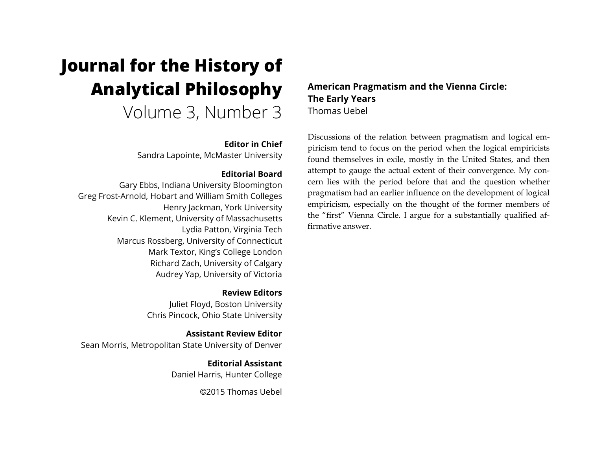# **Journal for the History of Analytical Philosophy**

Volume 3, Number 3

## **Editor in Chief**

Sandra Lapointe, McMaster University

## **Editorial Board**

Gary Ebbs, Indiana University Bloomington Greg Frost-Arnold, Hobart and William Smith Colleges Henry Jackman, York University Kevin C. Klement, University of Massachusetts Lydia Patton, Virginia Tech Marcus Rossberg, University of Connecticut Mark Textor, King's College London Richard Zach, University of Calgary Audrey Yap, University of Victoria

> **Review Editors** Juliet Floyd, Boston University Chris Pincock, Ohio State University

**Assistant Review Editor** Sean Morris, Metropolitan State University of Denver

> **Editorial Assistant** Daniel Harris, Hunter College

> > ©2015 Thomas Uebel

## **American Pragmatism and the Vienna Circle: The Early Years** Thomas Uebel

Discussions of the relation between pragmatism and logical empiricism tend to focus on the period when the logical empiricists found themselves in exile, mostly in the United States, and then attempt to gauge the actual extent of their convergence. My concern lies with the period before that and the question whether pragmatism had an earlier influence on the development of logical empiricism, especially on the thought of the former members of the "first" Vienna Circle. I argue for a substantially qualified affirmative answer.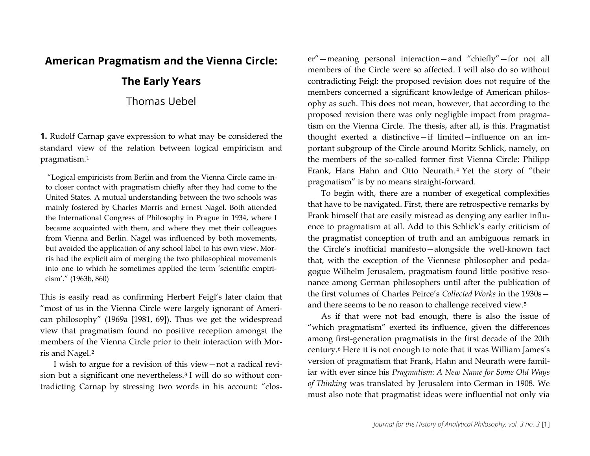# **American Pragmatism and the Vienna Circle:**

# **The Early Years**

Thomas Uebel

**1.** Rudolf Carnap gave expression to what may be considered the standard view of the relation between logical empiricism and pragmatism.[1](#page-17-0)

"Logical empiricists from Berlin and from the Vienna Circle came into closer contact with pragmatism chiefly after they had come to the United States. A mutual understanding between the two schools was mainly fostered by Charles Morris and Ernest Nagel. Both attended the International Congress of Philosophy in Prague in 1934, where I became acquainted with them, and where they met their colleagues from Vienna and Berlin. Nagel was influenced by both movements, but avoided the application of any school label to his own view. Morris had the explicit aim of merging the two philosophical movements into one to which he sometimes applied the term 'scientific empiricism'." (1963b, 860)

This is easily read as confirming Herbert Feigl's later claim that "most of us in the Vienna Circle were largely ignorant of American philosophy" (1969a [1981, 69]). Thus we get the widespread view that pragmatism found no positive reception amongst the members of the Vienna Circle prior to their interaction with Morris and Nagel.[2](#page-17-1)

I wish to argue for a revision of this view—not a radical revision but a significant one nevertheless.[3](#page-17-2) I will do so without contradicting Carnap by stressing two words in his account: "closer"—meaning personal interaction—and "chiefly"—for not all members of the Circle were so affected. I will also do so without contradicting Feigl: the proposed revision does not require of the members concerned a significant knowledge of American philosophy as such. This does not mean, however, that according to the proposed revision there was only negligble impact from pragmatism on the Vienna Circle. The thesis, after all, is this. Pragmatist thought exerted a distinctive—if limited—influence on an important subgroup of the Circle around Moritz Schlick, namely, on the members of the so-called former first Vienna Circle: Philipp Frank, Hans Hahn and Otto Neurath. [4](#page-18-0) Yet the story of "their pragmatism" is by no means straight-forward.

To begin with, there are a number of exegetical complexities that have to be navigated. First, there are retrospective remarks by Frank himself that are easily misread as denying any earlier influence to pragmatism at all. Add to this Schlick's early criticism of the pragmatist conception of truth and an ambiguous remark in the Circle's inofficial manifesto—alongside the well-known fact that, with the exception of the Viennese philosopher and pedagogue Wilhelm Jerusalem, pragmatism found little positive resonance among German philosophers until after the publication of the first volumes of Charles Peirce's *Collected Works* in the 1930s and there seems to be no reason to challenge received view.[5](#page-18-1)

As if that were not bad enough, there is also the issue of "which pragmatism" exerted its influence, given the differences among first-generation pragmatists in the first decade of the 20th century.[6](#page-18-2) Here it is not enough to note that it was William James's version of pragmatism that Frank, Hahn and Neurath were familiar with ever since his *Pragmatism: A New Name for Some Old Ways of Thinking* was translated by Jerusalem into German in 1908. We must also note that pragmatist ideas were influential not only via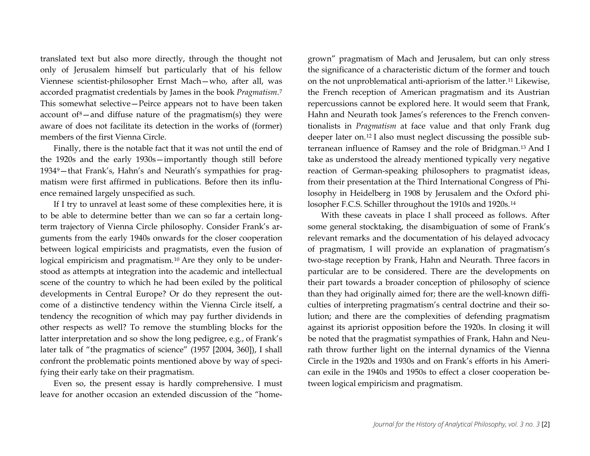translated text but also more directly, through the thought not only of Jerusalem himself but particularly that of his fellow Viennese scientist-philosopher Ernst Mach—who, after all, was accorded pragmatist credentials by James in the book *Pragmatism*.[7](#page-19-0) This somewhat selective—Peirce appears not to have been taken account of  $\delta$ –and diffuse nature of the pragmatism(s) they were aware of does not facilitate its detection in the works of (former) members of the first Vienna Circle.

Finally, there is the notable fact that it was not until the end of the 1920s and the early 1930s—importantly though still before 193[49](#page-19-2)—that Frank's, Hahn's and Neurath's sympathies for pragmatism were first affirmed in publications. Before then its influence remained largely unspecified as such.

If I try to unravel at least some of these complexities here, it is to be able to determine better than we can so far a certain longterm trajectory of Vienna Circle philosophy. Consider Frank's arguments from the early 1940s onwards for the closer cooperation between logical empiricists and pragmatists, even the fusion of logical empiricism and pragmatism.<sup>[10](#page-19-3)</sup> Are they only to be understood as attempts at integration into the academic and intellectual scene of the country to which he had been exiled by the political developments in Central Europe? Or do they represent the outcome of a distinctive tendency within the Vienna Circle itself, a tendency the recognition of which may pay further dividends in other respects as well? To remove the stumbling blocks for the latter interpretation and so show the long pedigree, e.g., of Frank's later talk of "the pragmatics of science" (1957 [2004, 360]), I shall confront the problematic points mentioned above by way of specifying their early take on their pragmatism.

Even so, the present essay is hardly comprehensive. I must leave for another occasion an extended discussion of the "homegrown" pragmatism of Mach and Jerusalem, but can only stress the significance of a characteristic dictum of the former and touch on the not unproblematical anti-apriorism of the latter.[11](#page-20-0) Likewise, the French reception of American pragmatism and its Austrian repercussions cannot be explored here. It would seem that Frank, Hahn and Neurath took James's references to the French conventionalists in *Pragmatism* at face value and that only Frank dug deeper later on.[12](#page-20-1) I also must neglect discussing the possible subterranean influence of Ramsey and the role of Bridgman.[13](#page-20-2) And I take as understood the already mentioned typically very negative reaction of German-speaking philosophers to pragmatist ideas, from their presentation at the Third International Congress of Philosophy in Heidelberg in 1908 by Jerusalem and the Oxford philosopher F.C.S. Schiller throughout the 1910s and 1920s.[14](#page-20-3)

With these caveats in place I shall proceed as follows. After some general stocktaking, the disambiguation of some of Frank's relevant remarks and the documentation of his delayed advocacy of pragmatism, I will provide an explanation of pragmatism's two-stage reception by Frank, Hahn and Neurath. Three facors in particular are to be considered. There are the developments on their part towards a broader conception of philosophy of science than they had originally aimed for; there are the well-known difficulties of interpreting pragmatism's central doctrine and their solution; and there are the complexities of defending pragmatism against its apriorist opposition before the 1920s. In closing it will be noted that the pragmatist sympathies of Frank, Hahn and Neurath throw further light on the internal dynamics of the Vienna Circle in the 1920s and 1930s and on Frank's efforts in his American exile in the 1940s and 1950s to effect a closer cooperation between logical empiricism and pragmatism.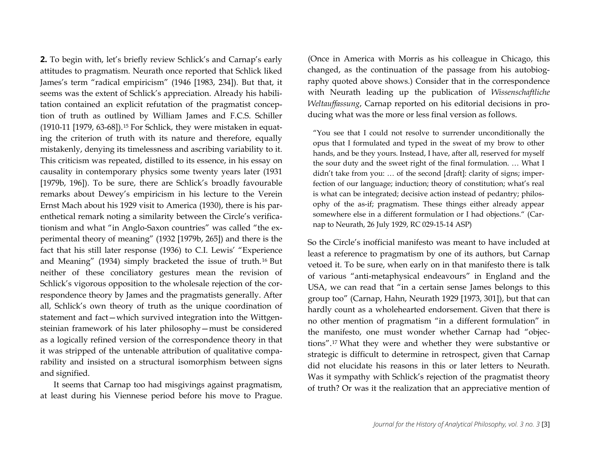**2.** To begin with, let's briefly review Schlick's and Carnap's early attitudes to pragmatism. Neurath once reported that Schlick liked James's term "radical empiricism" (1946 [1983, 234]). But that, it seems was the extent of Schlick's appreciation. Already his habilitation contained an explicit refutation of the pragmatist conception of truth as outlined by William James and F.C.S. Schiller (1910-11 [1979, 63-68]).[15](#page-21-0) For Schlick, they were mistaken in equating the criterion of truth with its nature and therefore, equally mistakenly, denying its timelessness and ascribing variability to it. This criticism was repeated, distilled to its essence, in his essay on causality in contemporary physics some twenty years later (1931 [1979b, 196]). To be sure, there are Schlick's broadly favourable remarks about Dewey's empiricism in his lecture to the Verein Ernst Mach about his 1929 visit to America (1930), there is his parenthetical remark noting a similarity between the Circle's verificationism and what "in Anglo-Saxon countries" was called "the experimental theory of meaning" (1932 [1979b, 265]) and there is the fact that his still later response (1936) to C.I. Lewis' "Experience and Meaning" (1934) simply bracketed the issue of truth.[16](#page-21-1) But neither of these conciliatory gestures mean the revision of Schlick's vigorous opposition to the wholesale rejection of the correspondence theory by James and the pragmatists generally. After all, Schlick's own theory of truth as the unique coordination of statement and fact—which survived integration into the Wittgensteinian framework of his later philosophy—must be considered as a logically refined version of the correspondence theory in that it was stripped of the untenable attribution of qualitative comparability and insisted on a structural isomorphism between signs and signified.

It seems that Carnap too had misgivings against pragmatism, at least during his Viennese period before his move to Prague. (Once in America with Morris as his colleague in Chicago, this changed, as the continuation of the passage from his autobiography quoted above shows.) Consider that in the correspondence with Neurath leading up the publication of *Wissenschaftliche Weltauffassung*, Carnap reported on his editorial decisions in producing what was the more or less final version as follows.

"You see that I could not resolve to surrender unconditionally the opus that I formulated and typed in the sweat of my brow to other hands, and be they yours. Instead, I have, after all, reserved for myself the sour duty and the sweet right of the final formulation. … What I didn't take from you: … of the second [draft]: clarity of signs; imperfection of our language; induction; theory of constitution; what's real is what can be integrated; decisive action instead of pedantry; philosophy of the as-if; pragmatism. These things either already appear somewhere else in a different formulation or I had objections." (Carnap to Neurath, 26 July 1929, RC 029-15-14 ASP)

So the Circle's inofficial manifesto was meant to have included at least a reference to pragmatism by one of its authors, but Carnap vetoed it. To be sure, when early on in that manifesto there is talk of various "anti-metaphysical endeavours" in England and the USA, we can read that "in a certain sense James belongs to this group too" (Carnap, Hahn, Neurath 1929 [1973, 301]), but that can hardly count as a wholehearted endorsement. Given that there is no other mention of pragmatism "in a different formulation" in the manifesto, one must wonder whether Carnap had "objections".[17](#page-21-2) What they were and whether they were substantive or strategic is difficult to determine in retrospect, given that Carnap did not elucidate his reasons in this or later letters to Neurath. Was it sympathy with Schlick's rejection of the pragmatist theory of truth? Or was it the realization that an appreciative mention of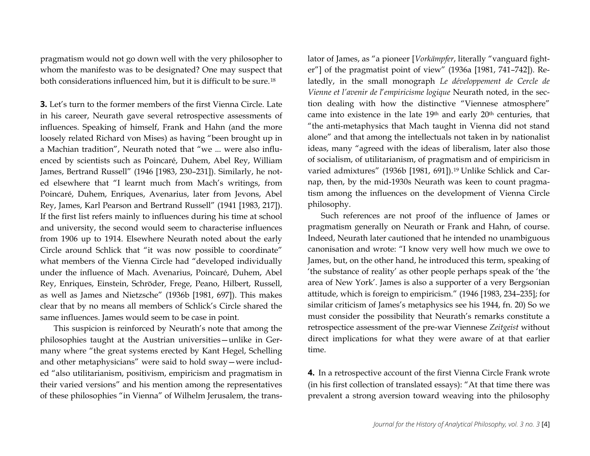pragmatism would not go down well with the very philosopher to whom the manifesto was to be designated? One may suspect that both considerations influenced him, but it is difficult to be sure.[18](#page-22-0)

**3.** Let's turn to the former members of the first Vienna Circle. Late in his career, Neurath gave several retrospective assessments of influences. Speaking of himself, Frank and Hahn (and the more loosely related Richard von Mises) as having "been brought up in a Machian tradition", Neurath noted that "we ... were also influenced by scientists such as Poincaré, Duhem, Abel Rey, William James, Bertrand Russell" (1946 [1983, 230–231]). Similarly, he noted elsewhere that "I learnt much from Mach's writings, from Poincaré, Duhem, Enriques, Avenarius, later from Jevons, Abel Rey, James, Karl Pearson and Bertrand Russell" (1941 [1983, 217]). If the first list refers mainly to influences during his time at school and university, the second would seem to characterise influences from 1906 up to 1914. Elsewhere Neurath noted about the early Circle around Schlick that "it was now possible to coordinate" what members of the Vienna Circle had "developed individually under the influence of Mach. Avenarius, Poincaré, Duhem, Abel Rey, Enriques, Einstein, Schröder, Frege, Peano, Hilbert, Russell, as well as James and Nietzsche" (1936b [1981, 697]). This makes clear that by no means all members of Schlick's Circle shared the same influences. James would seem to be case in point.

This suspicion is reinforced by Neurath's note that among the philosophies taught at the Austrian universities—unlike in Germany where "the great systems erected by Kant Hegel, Schelling and other metaphysicians" were said to hold sway—were included "also utilitarianism, positivism, empiricism and pragmatism in their varied versions" and his mention among the representatives of these philosophies "in Vienna" of Wilhelm Jerusalem, the translator of James, as "a pioneer [*Vorkämpfer*, literally "vanguard fighter"] of the pragmatist point of view" (1936a [1981, 741–742]). Relatedly, in the small monograph *Le développement de Cercle de Vienne et l'avenir de l*'*empiricisme logique* Neurath noted, in the section dealing with how the distinctive "Viennese atmosphere" came into existence in the late 19<sup>th</sup> and early 20<sup>th</sup> centuries, that "the anti-metaphysics that Mach taught in Vienna did not stand alone" and that among the intellectuals not taken in by nationalist ideas, many "agreed with the ideas of liberalism, later also those of socialism, of utilitarianism, of pragmatism and of empiricism in varied admixtures" (1936b [1981, 691]).[19](#page-22-1) Unlike Schlick and Carnap, then, by the mid-1930s Neurath was keen to count pragmatism among the influences on the development of Vienna Circle philosophy.

Such references are not proof of the influence of James or pragmatism generally on Neurath or Frank and Hahn, of course. Indeed, Neurath later cautioned that he intended no unambiguous canonisation and wrote: "I know very well how much we owe to James, but, on the other hand, he introduced this term, speaking of 'the substance of reality' as other people perhaps speak of the 'the area of New York'. James is also a supporter of a very Bergsonian attitude, which is foreign to empiricism." (1946 [1983, 234–235]; for similar criticism of James's metaphysics see his 1944, fn. 20) So we must consider the possibility that Neurath's remarks constitute a retrospectice assessment of the pre-war Viennese *Zeitgeist* without direct implications for what they were aware of at that earlier time.

**4.** In a retrospective account of the first Vienna Circle Frank wrote (in his first collection of translated essays): "At that time there was prevalent a strong aversion toward weaving into the philosophy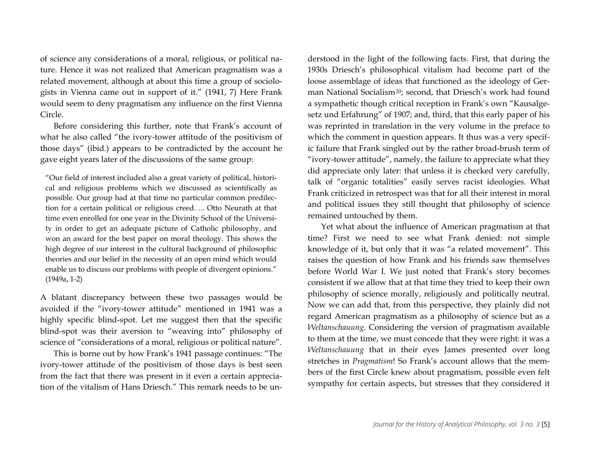of science any considerations of a moral, religious, or political nature. Hence it was not realized that American pragmatism was a related movement, although at about this time a group of sociologists in Vienna came out in support of it." (1941, 7) Here Frank would seem to deny pragmatism any influence on the first Vienna Circle.

Before considering this further, note that Frank's account of what he also called "the ivory-tower attitude of the positivism of those days" (ibid.) appears to be contradicted by the account he gave eight years later of the discussions of the same group:

"Our field of interest included also a great variety of political, historical and religious problems which we discussed as scientifically as possible. Our group had at that time no particular common predilection for a certain political or religious creed. ... Otto Neurath at that time even enrolled for one year in the Divinity School of the University in order to get an adequate picture of Catholic philosophy, and won an award for the best paper on moral theology. This shows the high degree of our interest in the cultural background of philosophic theories and our belief in the necessity of an open mind which would enable us to discuss our problems with people of divergent opinions." (1949a, 1-2)

A blatant discrepancy between these two passages would be avoided if the "ivory-tower attitude" mentioned in 1941 was a highly specific blind-spot. Let me suggest then that the specific blind-spot was their aversion to "weaving into" philosophy of science of "considerations of a moral, religious or political nature".

This is borne out by how Frank's 1941 passage continues: "The ivory-tower attitude of the positivism of those days is best seen from the fact that there was present in it even a certain appreciation of the vitalism of Hans Driesch." This remark needs to be understood in the light of the following facts. First, that during the 1930s Driesch's philosophical vitalism had become part of the loose assemblage of ideas that functioned as the ideology of German National Socialism[20](#page-23-0); second, that Driesch's work had found a sympathetic though critical reception in Frank's own "Kausalgesetz und Erfahrung" of 1907; and, third, that this early paper of his was reprinted in translation in the very volume in the preface to which the comment in question appears. It thus was a very specific failure that Frank singled out by the rather broad-brush term of "ivory-tower attitude", namely, the failure to appreciate what they did appreciate only later: that unless it is checked very carefully, talk of "organic totalities" easily serves racist ideologies. What Frank criticized in retrospect was that for all their interest in moral and political issues they still thought that philosophy of science remained untouched by them.

Yet what about the influence of American pragmatism at that time? First we need to see what Frank denied: not simple knowledge of it, but only that it was "a related movement". This raises the question of how Frank and his friends saw themselves before World War I. We just noted that Frank's story becomes consistent if we allow that at that time they tried to keep their own philosophy of science morally, religiously and politically neutral. Now we can add that, from this perspective, they plainly did not regard American pragmatism as a philosophy of science but as a *Weltanschauung*. Considering the version of pragmatism available to them at the time, we must concede that they were right: it was a *Weltanschauung* that in their eyes James presented over long stretches in *Pragmatism*! So Frank's account allows that the members of the first Circle knew about pragmatism, possible even felt sympathy for certain aspects, but stresses that they considered it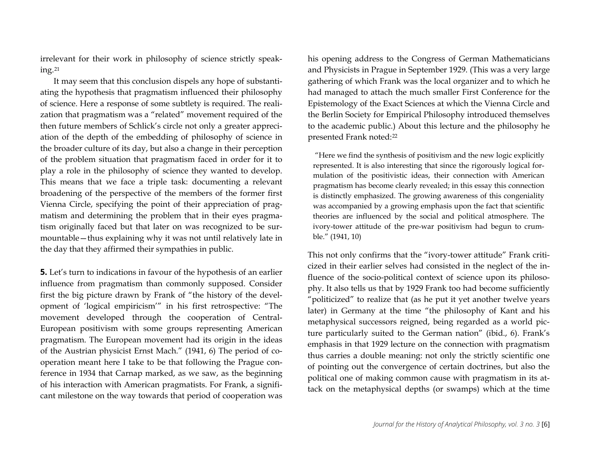irrelevant for their work in philosophy of science strictly speaking.[21](#page-24-0)

It may seem that this conclusion dispels any hope of substantiating the hypothesis that pragmatism influenced their philosophy of science. Here a response of some subtlety is required. The realization that pragmatism was a "related" movement required of the then future members of Schlick's circle not only a greater appreciation of the depth of the embedding of philosophy of science in the broader culture of its day, but also a change in their perception of the problem situation that pragmatism faced in order for it to play a role in the philosophy of science they wanted to develop. This means that we face a triple task: documenting a relevant broadening of the perspective of the members of the former first Vienna Circle, specifying the point of their appreciation of pragmatism and determining the problem that in their eyes pragmatism originally faced but that later on was recognized to be surmountable—thus explaining why it was not until relatively late in the day that they affirmed their sympathies in public.

**5.** Let's turn to indications in favour of the hypothesis of an earlier influence from pragmatism than commonly supposed. Consider first the big picture drawn by Frank of "the history of the development of 'logical empiricism'" in his first retrospective: "The movement developed through the cooperation of Central-European positivism with some groups representing American pragmatism. The European movement had its origin in the ideas of the Austrian physicist Ernst Mach." (1941, 6) The period of cooperation meant here I take to be that following the Prague conference in 1934 that Carnap marked, as we saw, as the beginning of his interaction with American pragmatists. For Frank, a significant milestone on the way towards that period of cooperation was

his opening address to the Congress of German Mathematicians and Physicists in Prague in September 1929. (This was a very large gathering of which Frank was the local organizer and to which he had managed to attach the much smaller First Conference for the Epistemology of the Exact Sciences at which the Vienna Circle and the Berlin Society for Empirical Philosophy introduced themselves to the academic public.) About this lecture and the philosophy he presented Frank noted[:22](#page-24-1)

"Here we find the synthesis of positivism and the new logic explicitly represented. It is also interesting that since the rigorously logical formulation of the positivistic ideas, their connection with American pragmatism has become clearly revealed; in this essay this connection is distinctly emphasized. The growing awareness of this congeniality was accompanied by a growing emphasis upon the fact that scientific theories are influenced by the social and political atmosphere. The ivory-tower attitude of the pre-war positivism had begun to crumble." (1941, 10)

This not only confirms that the "ivory-tower attitude" Frank criticized in their earlier selves had consisted in the neglect of the influence of the socio-political context of science upon its philosophy. It also tells us that by 1929 Frank too had become sufficiently "politicized" to realize that (as he put it yet another twelve years later) in Germany at the time "the philosophy of Kant and his metaphysical successors reigned, being regarded as a world picture particularly suited to the German nation" (ibid., 6). Frank's emphasis in that 1929 lecture on the connection with pragmatism thus carries a double meaning: not only the strictly scientific one of pointing out the convergence of certain doctrines, but also the political one of making common cause with pragmatism in its attack on the metaphysical depths (or swamps) which at the time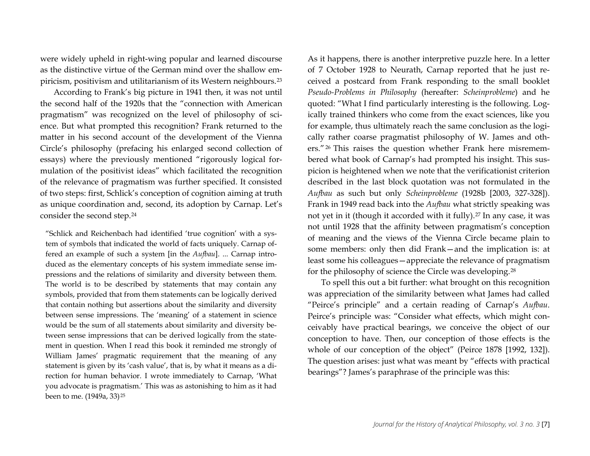were widely upheld in right-wing popular and learned discourse as the distinctive virtue of the German mind over the shallow empiricism, positivism and utilitarianism of its Western neighbours.[23](#page-25-0)

According to Frank's big picture in 1941 then, it was not until the second half of the 1920s that the "connection with American pragmatism" was recognized on the level of philosophy of science. But what prompted this recognition? Frank returned to the matter in his second account of the development of the Vienna Circle's philosophy (prefacing his enlarged second collection of essays) where the previously mentioned "rigorously logical formulation of the positivist ideas" which facilitated the recognition of the relevance of pragmatism was further specified. It consisted of two steps: first, Schlick's conception of cognition aiming at truth as unique coordination and, second, its adoption by Carnap. Let's consider the second step.[24](#page-25-1)

"Schlick and Reichenbach had identified 'true cognition' with a system of symbols that indicated the world of facts uniquely. Carnap offered an example of such a system [in the *Aufbau*]. ... Carnap introduced as the elementary concepts of his system immediate sense impressions and the relations of similarity and diversity between them. The world is to be described by statements that may contain any symbols, provided that from them statements can be logically derived that contain nothing but assertions about the similarity and diversity between sense impressions. The 'meaning' of a statement in science would be the sum of all statements about similarity and diversity between sense impressions that can be derived logically from the statement in question. When I read this book it reminded me strongly of William James' pragmatic requirement that the meaning of any statement is given by its 'cash value', that is, by what it means as a direction for human behavior. I wrote immediately to Carnap, 'What you advocate is pragmatism.' This was as astonishing to him as it had been to me. (1949a, 33) [25](#page-25-1)

As it happens, there is another interpretive puzzle here. In a letter of 7 October 1928 to Neurath, Carnap reported that he just received a postcard from Frank responding to the small booklet *Pseudo-Problems in Philosophy* (hereafter: *Scheinprobleme*) and he quoted: "What I find particularly interesting is the following. Logically trained thinkers who come from the exact sciences, like you for example, thus ultimately reach the same conclusion as the logically rather coarse pragmatist philosophy of W. James and others."[26](#page-26-0) This raises the question whether Frank here misremembered what book of Carnap's had prompted his insight. This suspicion is heightened when we note that the verificationist criterion described in the last block quotation was not formulated in the *Aufbau* as such but only *Scheinprobleme* (1928b [2003, 327-328]). Frank in 1949 read back into the *Aufbau* what strictly speaking was not yet in it (though it accorded with it fully).[27](#page-26-1) In any case, it was not until 1928 that the affinity between pragmatism's conception of meaning and the views of the Vienna Circle became plain to some members: only then did Frank—and the implication is: at least some his colleagues—appreciate the relevance of pragmatism for the philosophy of science the Circle was developing.[28](#page-26-2)

To spell this out a bit further: what brought on this recognition was appreciation of the similarity between what James had called "Peirce's principle" and a certain reading of Carnap's *Aufbau*. Peirce's principle was: "Consider what effects, which might conceivably have practical bearings, we conceive the object of our conception to have. Then, our conception of those effects is the whole of our conception of the object" (Peirce 1878 [1992, 132]). The question arises: just what was meant by "effects with practical bearings"? James's paraphrase of the principle was this: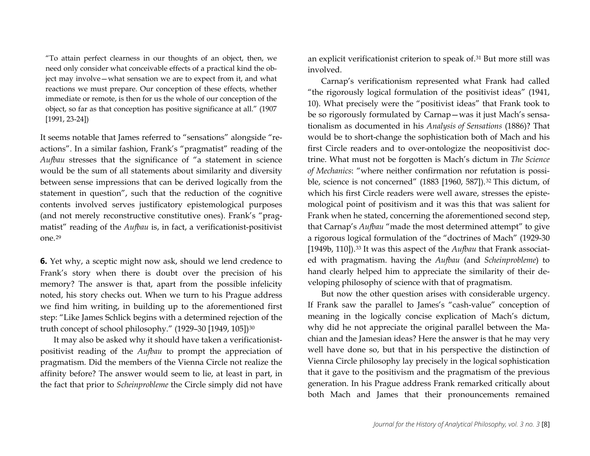"To attain perfect clearness in our thoughts of an object, then, we need only consider what conceivable effects of a practical kind the object may involve—what sensation we are to expect from it, and what reactions we must prepare. Our conception of these effects, whether immediate or remote, is then for us the whole of our conception of the object, so far as that conception has positive significance at all." (1907 [1991, 23-24])

It seems notable that James referred to "sensations" alongside "reactions". In a similar fashion, Frank's "pragmatist" reading of the *Aufbau* stresses that the significance of "a statement in science would be the sum of all statements about similarity and diversity between sense impressions that can be derived logically from the statement in question", such that the reduction of the cognitive contents involved serves justificatory epistemological purposes (and not merely reconstructive constitutive ones). Frank's "pragmatist" reading of the *Aufbau* is, in fact, a verificationist-positivist one.[29](#page-27-0)

**6.** Yet why, a sceptic might now ask, should we lend credence to Frank's story when there is doubt over the precision of his memory? The answer is that, apart from the possible infelicity noted, his story checks out. When we turn to his Prague address we find him writing, in building up to the aforementioned first step: "Like James Schlick begins with a determined rejection of the truth concept of school philosophy." (1929–30 [1949, 105])[30](#page-27-1)

It may also be asked why it should have taken a verificationistpositivist reading of the *Aufbau* to prompt the appreciation of pragmatism. Did the members of the Vienna Circle not realize the affinity before? The answer would seem to lie, at least in part, in the fact that prior to *Scheinprobleme* the Circle simply did not have an explicit verificationist criterion to speak of.[31](#page-28-0) But more still was involved.

Carnap's verificationism represented what Frank had called "the rigorously logical formulation of the positivist ideas" (1941, 10). What precisely were the "positivist ideas" that Frank took to be so rigorously formulated by Carnap—was it just Mach's sensationalism as documented in his *Analysis of Sensations* (1886)? That would be to short-change the sophistication both of Mach and his first Circle readers and to over-ontologize the neopositivist doctrine. What must not be forgotten is Mach's dictum in *The Science of Mechanics*: "where neither confirmation nor refutation is possi-ble, science is not concerned" (1883 [1960, 587]).<sup>[32](#page-28-1)</sup> This dictum, of which his first Circle readers were well aware, stresses the epistemological point of positivism and it was this that was salient for Frank when he stated, concerning the aforementioned second step, that Carnap's *Aufbau* "made the most determined attempt" to give a rigorous logical formulation of the "doctrines of Mach" (1929-30 [1949b, 110]).<sup>[33](#page-28-2)</sup> It was this aspect of the *Aufbau* that Frank associated with pragmatism. having the *Aufbau* (and *Scheinprobleme*) to hand clearly helped him to appreciate the similarity of their developing philosophy of science with that of pragmatism.

But now the other question arises with considerable urgency. If Frank saw the parallel to James's "cash-value" conception of meaning in the logically concise explication of Mach's dictum, why did he not appreciate the original parallel between the Machian and the Jamesian ideas? Here the answer is that he may very well have done so, but that in his perspective the distinction of Vienna Circle philosophy lay precisely in the logical sophistication that it gave to the positivism and the pragmatism of the previous generation. In his Prague address Frank remarked critically about both Mach and James that their pronouncements remained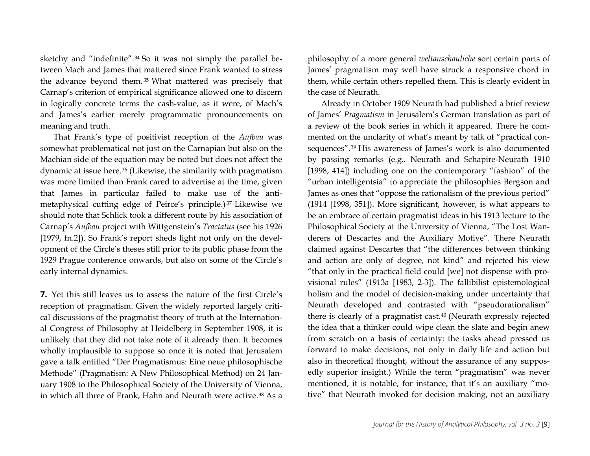sketchy and "indefinite".[34](#page-29-0) So it was not simply the parallel between Mach and James that mattered since Frank wanted to stress the advance beyond them. [35](#page-29-1) What mattered was precisely that Carnap's criterion of empirical significance allowed one to discern in logically concrete terms the cash-value, as it were, of Mach's and James's earlier merely programmatic pronouncements on meaning and truth.

That Frank's type of positivist reception of the *Aufbau* was somewhat problematical not just on the Carnapian but also on the Machian side of the equation may be noted but does not affect the dynamic at issue here.[36](#page-29-2) (Likewise, the similarity with pragmatism was more limited than Frank cared to advertise at the time, given that James in particular failed to make use of the antimetaphysical cutting edge of Peirce's principle.) [37](#page-29-3) Likewise we should note that Schlick took a different route by his association of Carnap's *Aufbau* project with Wittgenstein's *Tractatus* (see his 1926 [1979, fn.2]). So Frank's report sheds light not only on the development of the Circle's theses still prior to its public phase from the 1929 Prague conference onwards, but also on some of the Circle's early internal dynamics.

**7.** Yet this still leaves us to assess the nature of the first Circle's reception of pragmatism. Given the widely reported largely critical discussions of the pragmatist theory of truth at the International Congress of Philosophy at Heidelberg in September 1908, it is unlikely that they did not take note of it already then. It becomes wholly implausible to suppose so once it is noted that Jerusalem gave a talk entitled "Der Pragmatismus: Eine neue philosophische Methode" (Pragmatism: A New Philosophical Method) on 24 January 1908 to the Philosophical Society of the University of Vienna, in which all three of Frank, Hahn and Neurath were active.[38](#page-29-0) As a philosophy of a more general *weltanschauliche* sort certain parts of James' pragmatism may well have struck a responsive chord in them, while certain others repelled them. This is clearly evident in the case of Neurath.

Already in October 1909 Neurath had published a brief review of James' *Pragmatism* in Jerusalem's German translation as part of a review of the book series in which it appeared. There he commented on the unclarity of what's meant by talk of "practical consequences".[39](#page-30-0) His awareness of James's work is also documented by passing remarks (e.g.. Neurath and Schapire-Neurath 1910 [1998, 414]) including one on the contemporary "fashion" of the "urban intelligentsia" to appreciate the philosophies Bergson and James as ones that "oppose the rationalism of the previous period" (1914 [1998, 351]). More significant, however, is what appears to be an embrace of certain pragmatist ideas in his 1913 lecture to the Philosophical Society at the University of Vienna, "The Lost Wanderers of Descartes and the Auxiliary Motive". There Neurath claimed against Descartes that "the differences between thinking and action are only of degree, not kind" and rejected his view "that only in the practical field could [we] not dispense with provisional rules" (1913a [1983, 2-3]). The fallibilist epistemological holism and the model of decision-making under uncertainty that Neurath developed and contrasted with "pseudorationalism" there is clearly of a pragmatist cast.[40](#page-30-1) (Neurath expressly rejected the idea that a thinker could wipe clean the slate and begin anew from scratch on a basis of certainty: the tasks ahead pressed us forward to make decisions, not only in daily life and action but also in theoretical thought, without the assurance of any supposedly superior insight.) While the term "pragmatism" was never mentioned, it is notable, for instance, that it's an auxiliary "motive" that Neurath invoked for decision making, not an auxiliary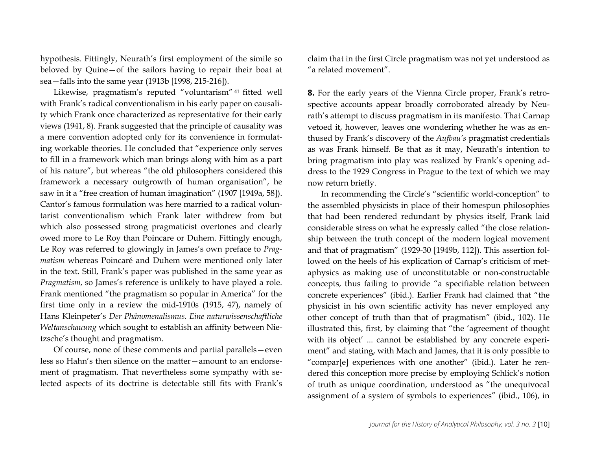hypothesis. Fittingly, Neurath's first employment of the simile so beloved by Quine—of the sailors having to repair their boat at sea—falls into the same year (1913b [1998, 215-216]).

Likewise, pragmatism's reputed "voluntarism" [41](#page-31-0) fitted well with Frank's radical conventionalism in his early paper on causality which Frank once characterized as representative for their early views (1941, 8). Frank suggested that the principle of causality was a mere convention adopted only for its convenience in formulating workable theories. He concluded that "experience only serves to fill in a framework which man brings along with him as a part of his nature", but whereas "the old philosophers considered this framework a necessary outgrowth of human organisation", he saw in it a "free creation of human imagination" (1907 [1949a, 58]). Cantor's famous formulation was here married to a radical voluntarist conventionalism which Frank later withdrew from but which also possessed strong pragmaticist overtones and clearly owed more to Le Roy than Poincare or Duhem. Fittingly enough, Le Roy was referred to glowingly in James's own preface to *Pragmatism* whereas Poincaré and Duhem were mentioned only later in the text. Still, Frank's paper was published in the same year as *Pragmatism,* so James's reference is unlikely to have played a role. Frank mentioned "the pragmatism so popular in America" for the first time only in a review the mid-1910s (1915, 47), namely of Hans Kleinpeter's *Der Phänomenalismus. Eine naturwissenschaftliche Weltanschauung* which sought to establish an affinity between Nietzsche's thought and pragmatism.

Of course, none of these comments and partial parallels—even less so Hahn's then silence on the matter—amount to an endorsement of pragmatism. That nevertheless some sympathy with selected aspects of its doctrine is detectable still fits with Frank's claim that in the first Circle pragmatism was not yet understood as "a related movement".

**8.** For the early years of the Vienna Circle proper, Frank's retrospective accounts appear broadly corroborated already by Neurath's attempt to discuss pragmatism in its manifesto. That Carnap vetoed it, however, leaves one wondering whether he was as enthused by Frank's discovery of the *Aufbau's* pragmatist credentials as was Frank himself. Be that as it may, Neurath's intention to bring pragmatism into play was realized by Frank's opening address to the 1929 Congress in Prague to the text of which we may now return briefly.

In recommending the Circle's "scientific world-conception" to the assembled physicists in place of their homespun philosophies that had been rendered redundant by physics itself, Frank laid considerable stress on what he expressly called "the close relationship between the truth concept of the modern logical movement and that of pragmatism" (1929-30 [1949b, 112]). This assertion followed on the heels of his explication of Carnap's criticism of metaphysics as making use of unconstitutable or non-constructable concepts, thus failing to provide "a specifiable relation between concrete experiences" (ibid.). Earlier Frank had claimed that "the physicist in his own scientific activity has never employed any other concept of truth than that of pragmatism" (ibid., 102). He illustrated this, first, by claiming that "the 'agreement of thought with its object' ... cannot be established by any concrete experiment" and stating, with Mach and James, that it is only possible to "compar[e] experiences with one another" (ibid.). Later he rendered this conception more precise by employing Schlick's notion of truth as unique coordination, understood as "the unequivocal assignment of a system of symbols to experiences" (ibid., 106), in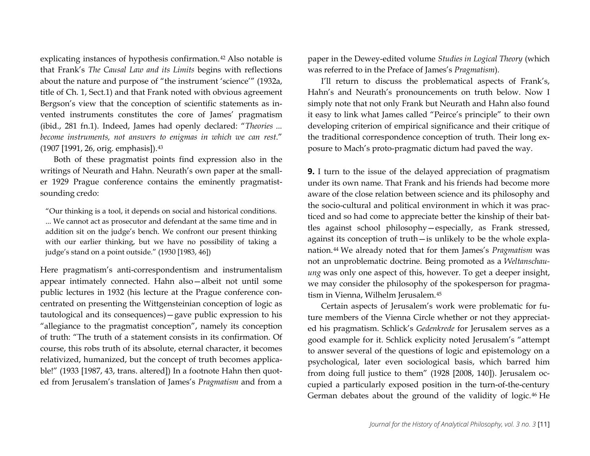explicating instances of hypothesis confirmation.[42](#page-32-0) Also notable is that Frank's *The Causal Law and its Limits* begins with reflections about the nature and purpose of "the instrument 'science'" (1932a, title of Ch. 1, Sect.1) and that Frank noted with obvious agreement Bergson's view that the conception of scientific statements as invented instruments constitutes the core of James' pragmatism (ibid., 281 fn.1). Indeed, James had openly declared: "*Theories ... become instruments, not answers to enigmas in which we can rest*." (1907 [1991, 26, orig. emphasis]).[43](#page-32-1)

Both of these pragmatist points find expression also in the writings of Neurath and Hahn. Neurath's own paper at the smaller 1929 Prague conference contains the eminently pragmatistsounding credo:

"Our thinking is a tool, it depends on social and historical conditions. ... We cannot act as prosecutor and defendant at the same time and in addition sit on the judge's bench. We confront our present thinking with our earlier thinking, but we have no possibility of taking a judge's stand on a point outside." (1930 [1983, 46])

Here pragmatism's anti-correspondentism and instrumentalism appear intimately connected. Hahn also—albeit not until some public lectures in 1932 (his lecture at the Prague conference concentrated on presenting the Wittgensteinian conception of logic as tautological and its consequences)—gave public expression to his "allegiance to the pragmatist conception", namely its conception of truth: "The truth of a statement consists in its confirmation. Of course, this robs truth of its absolute, eternal character, it becomes relativized, humanized, but the concept of truth becomes applicable!" (1933 [1987, 43, trans. altered]) In a footnote Hahn then quoted from Jerusalem's translation of James's *Pragmatism* and from a paper in the Dewey-edited volume *Studies in Logical Theory* (which was referred to in the Preface of James's *Pragmatism*).

I'll return to discuss the problematical aspects of Frank's, Hahn's and Neurath's pronouncements on truth below. Now I simply note that not only Frank but Neurath and Hahn also found it easy to link what James called "Peirce's principle" to their own developing criterion of empirical significance and their critique of the traditional correspondence conception of truth. Their long exposure to Mach's proto-pragmatic dictum had paved the way.

**9.** I turn to the issue of the delayed appreciation of pragmatism under its own name. That Frank and his friends had become more aware of the close relation between science and its philosophy and the socio-cultural and political environment in which it was practiced and so had come to appreciate better the kinship of their battles against school philosophy—especially, as Frank stressed, against its conception of truth—is unlikely to be the whole explanation.[44](#page-32-0) We already noted that for them James's *Pragmatism* was not an unproblematic doctrine. Being promoted as a *Weltanschauung* was only one aspect of this, however. To get a deeper insight, we may consider the philosophy of the spokesperson for pragmatism in Vienna, Wilhelm Jerusalem.[45](#page-32-2)

Certain aspects of Jerusalem's work were problematic for future members of the Vienna Circle whether or not they appreciated his pragmatism. Schlick's *Gedenkrede* for Jerusalem serves as a good example for it. Schlick explicity noted Jerusalem's "attempt to answer several of the questions of logic and epistemology on a psychological, later even sociological basis, which barred him from doing full justice to them" (1928 [2008, 140]). Jerusalem occupied a particularly exposed position in the turn-of-the-century German debates about the ground of the validity of logic.[46](#page-32-3) He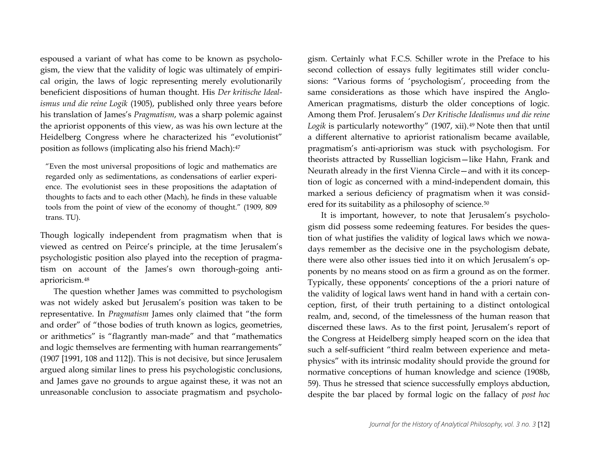espoused a variant of what has come to be known as psychologism, the view that the validity of logic was ultimately of empirical origin, the laws of logic representing merely evolutionarily beneficient dispositions of human thought. His *Der kritische Idealismus und die reine Logik* (1905), published only three years before his translation of James's *Pragmatism*, was a sharp polemic against the apriorist opponents of this view, as was his own lecture at the Heidelberg Congress where he characterized his "evolutionist" position as follows (implicating also his friend Mach):[47](#page-33-0)

"Even the most universal propositions of logic and mathematics are regarded only as sedimentations, as condensations of earlier experience. The evolutionist sees in these propositions the adaptation of thoughts to facts and to each other (Mach), he finds in these valuable tools from the point of view of the economy of thought." (1909, 809 trans. TU).

Though logically independent from pragmatism when that is viewed as centred on Peirce's principle, at the time Jerusalem's psychologistic position also played into the reception of pragmatism on account of the James's own thorough-going antiaprioricism.[48](#page-33-1)

The question whether James was committed to psychologism was not widely asked but Jerusalem's position was taken to be representative. In *Pragmatism* James only claimed that "the form and order" of "those bodies of truth known as logics, geometries, or arithmetics" is "flagrantly man-made" and that "mathematics and logic themselves are fermenting with human rearrangements" (1907 [1991, 108 and 112]). This is not decisive, but since Jerusalem argued along similar lines to press his psychologistic conclusions, and James gave no grounds to argue against these, it was not an unreasonable conclusion to associate pragmatism and psychologism. Certainly what F.C.S. Schiller wrote in the Preface to his second collection of essays fully legitimates still wider conclusions: "Various forms of 'psychologism', proceeding from the same considerations as those which have inspired the Anglo-American pragmatisms, disturb the older conceptions of logic. Among them Prof. Jerusalem's *Der Kritische Idealismus und die reine Logik* is particularly noteworthy" (1907, xii).[49](#page-34-0) Note then that until a different alternative to apriorist rationalism became available, pragmatism's anti-apriorism was stuck with psychologism. For theorists attracted by Russellian logicism—like Hahn, Frank and Neurath already in the first Vienna Circle—and with it its conception of logic as concerned with a mind-independent domain, this marked a serious deficiency of pragmatism when it was consid-ered for its suitability as a philosophy of science.<sup>[50](#page-34-1)</sup>

It is important, however, to note that Jerusalem's psychologism did possess some redeeming features. For besides the question of what justifies the validity of logical laws which we nowadays remember as the decisive one in the psychologism debate, there were also other issues tied into it on which Jerusalem's opponents by no means stood on as firm a ground as on the former. Typically, these opponents' conceptions of the a priori nature of the validity of logical laws went hand in hand with a certain conception, first, of their truth pertaining to a distinct ontological realm, and, second, of the timelessness of the human reason that discerned these laws. As to the first point, Jerusalem's report of the Congress at Heidelberg simply heaped scorn on the idea that such a self-sufficient "third realm between experience and metaphysics" with its intrinsic modality should provide the ground for normative conceptions of human knowledge and science (1908b, 59). Thus he stressed that science successfully employs abduction, despite the bar placed by formal logic on the fallacy of *post hoc*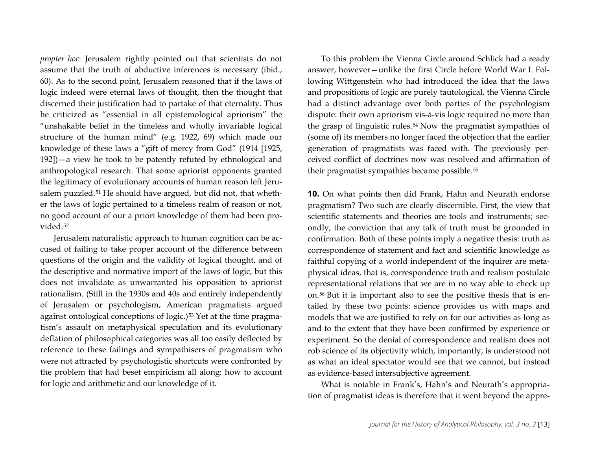*propter hoc*: Jerusalem rightly pointed out that scientists do not assume that the truth of abductive inferences is necessary (ibid., 60). As to the second point, Jerusalem reasoned that if the laws of logic indeed were eternal laws of thought, then the thought that discerned their justification had to partake of that eternality. Thus he criticized as "essential in all epistemological apriorism" the "unshakable belief in the timeless and wholly invariable logical structure of the human mind" (e.g. 1922, 69) which made our knowledge of these laws a "gift of mercy from God" (1914 [1925, 192])—a view he took to be patently refuted by ethnological and anthropological research. That some apriorist opponents granted the legitimacy of evolutionary accounts of human reason left Jerusalem puzzled.[51](#page-35-0) He should have argued, but did not, that whether the laws of logic pertained to a timeless realm of reason or not, no good account of our a priori knowledge of them had been provided.[52](#page-35-1)

Jerusalem naturalistic approach to human cognition can be accused of failing to take proper account of the difference between questions of the origin and the validity of logical thought, and of the descriptive and normative import of the laws of logic, but this does not invalidate as unwarranted his opposition to apriorist rationalism. (Still in the 1930s and 40s and entirely independently of Jerusalem or psychologism, American pragmatists argued against ontological conceptions of logic.)[53](#page-35-2) Yet at the time pragmatism's assault on metaphysical speculation and its evolutionary deflation of philosophical categories was all too easily deflected by reference to these failings and sympathisers of pragmatism who were not attracted by psychologistic shortcuts were confronted by the problem that had beset empiricism all along: how to account for logic and arithmetic and our knowledge of it.

To this problem the Vienna Circle around Schlick had a ready answer, however—unlike the first Circle before World War I. Following Wittgenstein who had introduced the idea that the laws and propositions of logic are purely tautological, the Vienna Circle had a distinct advantage over both parties of the psychologism dispute: their own apriorism vis-à-vis logic required no more than the grasp of linguistic rules.[54](#page-35-3) Now the pragmatist sympathies of (some of) its members no longer faced the objection that the earlier generation of pragmatists was faced with. The previously perceived conflict of doctrines now was resolved and affirmation of their pragmatist sympathies became possible.[55](#page-35-4)

**10.** On what points then did Frank, Hahn and Neurath endorse pragmatism? Two such are clearly discernible. First, the view that scientific statements and theories are tools and instruments; secondly, the conviction that any talk of truth must be grounded in confirmation. Both of these points imply a negative thesis: truth as correspondence of statement and fact and scientific knowledge as faithful copying of a world independent of the inquirer are metaphysical ideas, that is, correspondence truth and realism postulate representational relations that we are in no way able to check up on.[56](#page-35-5) But it is important also to see the positive thesis that is entailed by these two points: science provides us with maps and models that we are justified to rely on for our activities as long as and to the extent that they have been confirmed by experience or experiment. So the denial of correspondence and realism does not rob science of its objectivity which, importantly, is understood not as what an ideal spectator would see that we cannot, but instead as evidence-based intersubjective agreement.

What is notable in Frank's, Hahn's and Neurath's appropriation of pragmatist ideas is therefore that it went beyond the appre-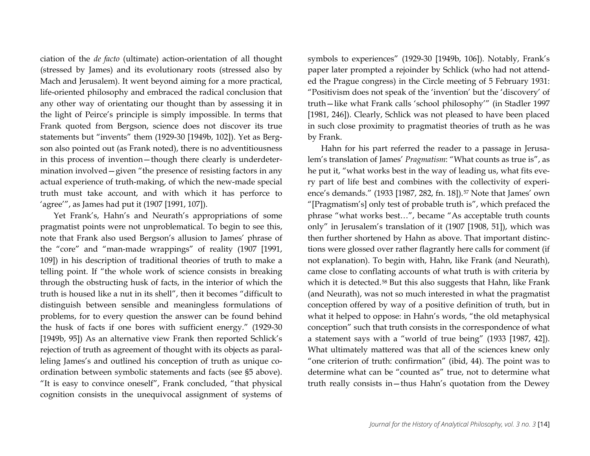ciation of the *de facto* (ultimate) action-orientation of all thought (stressed by James) and its evolutionary roots (stressed also by Mach and Jerusalem). It went beyond aiming for a more practical, life-oriented philosophy and embraced the radical conclusion that any other way of orientating our thought than by assessing it in the light of Peirce's principle is simply impossible. In terms that Frank quoted from Bergson, science does not discover its true statements but "invents" them (1929-30 [1949b, 102]). Yet as Bergson also pointed out (as Frank noted), there is no adventitiousness in this process of invention—though there clearly is underdetermination involved—given "the presence of resisting factors in any actual experience of truth-making, of which the new-made special truth must take account, and with which it has perforce to 'agree'", as James had put it (1907 [1991, 107]).

Yet Frank's, Hahn's and Neurath's appropriations of some pragmatist points were not unproblematical. To begin to see this, note that Frank also used Bergson's allusion to James' phrase of the "core" and "man-made wrappings" of reality (1907 [1991, 109]) in his description of traditional theories of truth to make a telling point. If "the whole work of science consists in breaking through the obstructing husk of facts, in the interior of which the truth is housed like a nut in its shell", then it becomes "difficult to distinguish between sensible and meaningless formulations of problems, for to every question the answer can be found behind the husk of facts if one bores with sufficient energy." (1929-30 [1949b, 95]) As an alternative view Frank then reported Schlick's rejection of truth as agreement of thought with its objects as paralleling James's and outlined his conception of truth as unique coordination between symbolic statements and facts (see §5 above). "It is easy to convince oneself", Frank concluded, "that physical cognition consists in the unequivocal assignment of systems of symbols to experiences" (1929-30 [1949b, 106]). Notably, Frank's paper later prompted a rejoinder by Schlick (who had not attended the Prague congress) in the Circle meeting of 5 February 1931: "Positivism does not speak of the 'invention' but the 'discovery' of truth—like what Frank calls 'school philosophy'" (in Stadler 1997 [1981, 246]). Clearly, Schlick was not pleased to have been placed in such close proximity to pragmatist theories of truth as he was by Frank.

Hahn for his part referred the reader to a passage in Jerusalem's translation of James' *Pragmatism*: "What counts as true is", as he put it, "what works best in the way of leading us, what fits every part of life best and combines with the collectivity of experi-ence's demands." (1933 [1987, 282, fn. 18]).<sup>[57](#page-35-0)</sup> Note that James' own "[Pragmatism's] only test of probable truth is", which prefaced the phrase "what works best…", became "As acceptable truth counts only" in Jerusalem's translation of it (1907 [1908, 51]), which was then further shortened by Hahn as above. That important distinctions were glossed over rather flagrantly here calls for comment (if not explanation). To begin with, Hahn, like Frank (and Neurath), came close to conflating accounts of what truth is with criteria by which it is detected.<sup>[58](#page-35-6)</sup> But this also suggests that Hahn, like Frank (and Neurath), was not so much interested in what the pragmatist conception offered by way of a positive definition of truth, but in what it helped to oppose: in Hahn's words, "the old metaphysical conception" such that truth consists in the correspondence of what a statement says with a "world of true being" (1933 [1987, 42]). What ultimately mattered was that all of the sciences knew only "one criterion of truth: confirmation" (ibid, 44). The point was to determine what can be "counted as" true, not to determine what truth really consists in—thus Hahn's quotation from the Dewey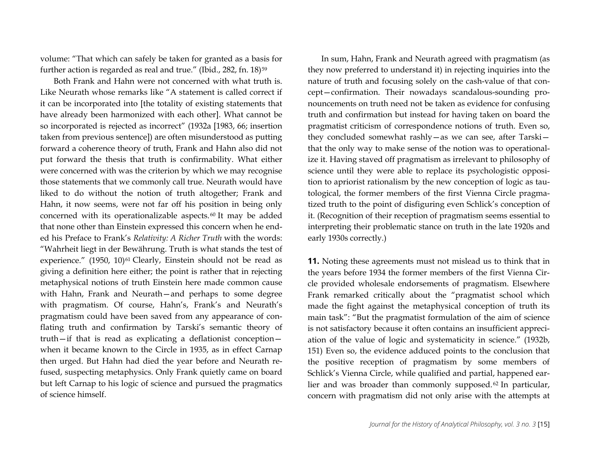volume: "That which can safely be taken for granted as a basis for further action is regarded as real and true." (Ibid., 282, fn. 18)<sup>[59](#page-35-7)</sup>

Both Frank and Hahn were not concerned with what truth is. Like Neurath whose remarks like "A statement is called correct if it can be incorporated into [the totality of existing statements that have already been harmonized with each other]. What cannot be so incorporated is rejected as incorrect" (1932a [1983, 66; insertion taken from previous sentence]) are often misunderstood as putting forward a coherence theory of truth, Frank and Hahn also did not put forward the thesis that truth is confirmability. What either were concerned with was the criterion by which we may recognise those statements that we commonly call true. Neurath would have liked to do without the notion of truth altogether; Frank and Hahn, it now seems, were not far off his position in being only concerned with its operationalizable aspects. [60](#page-35-8) It may be added that none other than Einstein expressed this concern when he ended his Preface to Frank's *Relativity: A Richer Truth* with the words: "Wahrheit liegt in der Bewährung. Truth is what stands the test of experience." (1950, 10)<sup>[61](#page-35-9)</sup> Clearly, Einstein should not be read as giving a definition here either; the point is rather that in rejecting metaphysical notions of truth Einstein here made common cause with Hahn, Frank and Neurath—and perhaps to some degree with pragmatism. Of course, Hahn's, Frank's and Neurath's pragmatism could have been saved from any appearance of conflating truth and confirmation by Tarski's semantic theory of truth—if that is read as explicating a deflationist conception when it became known to the Circle in 1935, as in effect Carnap then urged. But Hahn had died the year before and Neurath refused, suspecting metaphysics. Only Frank quietly came on board but left Carnap to his logic of science and pursued the pragmatics of science himself.

In sum, Hahn, Frank and Neurath agreed with pragmatism (as they now preferred to understand it) in rejecting inquiries into the nature of truth and focusing solely on the cash-value of that concept—confirmation. Their nowadays scandalous-sounding pronouncements on truth need not be taken as evidence for confusing truth and confirmation but instead for having taken on board the pragmatist criticism of correspondence notions of truth. Even so, they concluded somewhat rashly—as we can see, after Tarski that the only way to make sense of the notion was to operationalize it. Having staved off pragmatism as irrelevant to philosophy of science until they were able to replace its psychologistic opposition to apriorist rationalism by the new conception of logic as tautological, the former members of the first Vienna Circle pragmatized truth to the point of disfiguring even Schlick's conception of it. (Recognition of their reception of pragmatism seems essential to interpreting their problematic stance on truth in the late 1920s and early 1930s correctly.)

**11.** Noting these agreements must not mislead us to think that in the years before 1934 the former members of the first Vienna Circle provided wholesale endorsements of pragmatism. Elsewhere Frank remarked critically about the "pragmatist school which made the fight against the metaphysical conception of truth its main task": "But the pragmatist formulation of the aim of science is not satisfactory because it often contains an insufficient appreciation of the value of logic and systematicity in science." (1932b, 151) Even so, the evidence adduced points to the conclusion that the positive reception of pragmatism by some members of Schlick's Vienna Circle, while qualified and partial, happened ear-lier and was broader than commonly supposed.<sup>[62](#page-35-10)</sup> In particular, concern with pragmatism did not only arise with the attempts at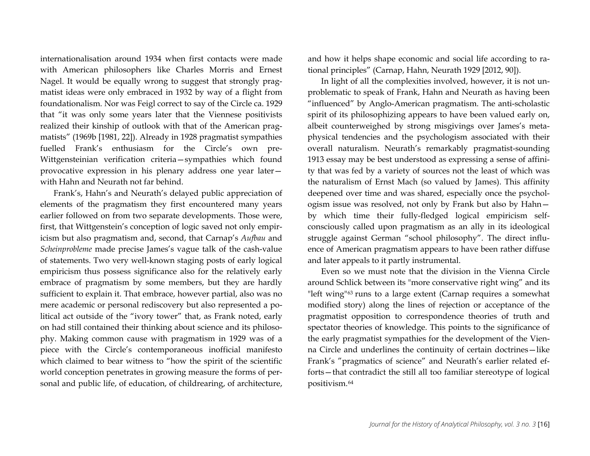internationalisation around 1934 when first contacts were made with American philosophers like Charles Morris and Ernest Nagel. It would be equally wrong to suggest that strongly pragmatist ideas were only embraced in 1932 by way of a flight from foundationalism. Nor was Feigl correct to say of the Circle ca. 1929 that "it was only some years later that the Viennese positivists realized their kinship of outlook with that of the American pragmatists" (1969b [1981, 22]). Already in 1928 pragmatist sympathies fuelled Frank's enthusiasm for the Circle's own pre-Wittgensteinian verification criteria—sympathies which found provocative expression in his plenary address one year later with Hahn and Neurath not far behind.

Frank's, Hahn's and Neurath's delayed public appreciation of elements of the pragmatism they first encountered many years earlier followed on from two separate developments. Those were, first, that Wittgenstein's conception of logic saved not only empiricism but also pragmatism and, second, that Carnap's *Aufbau* and *Scheinprobleme* made precise James's vague talk of the cash-value of statements. Two very well-known staging posts of early logical empiricism thus possess significance also for the relatively early embrace of pragmatism by some members, but they are hardly sufficient to explain it. That embrace, however partial, also was no mere academic or personal rediscovery but also represented a political act outside of the "ivory tower" that, as Frank noted, early on had still contained their thinking about science and its philosophy. Making common cause with pragmatism in 1929 was of a piece with the Circle's contemporaneous inofficial manifesto which claimed to bear witness to "how the spirit of the scientific world conception penetrates in growing measure the forms of personal and public life, of education, of childrearing, of architecture, and how it helps shape economic and social life according to rational principles" (Carnap, Hahn, Neurath 1929 [2012, 90]).

In light of all the complexities involved, however, it is not unproblematic to speak of Frank, Hahn and Neurath as having been "influenced" by Anglo-American pragmatism. The anti-scholastic spirit of its philosophizing appears to have been valued early on, albeit counterweighed by strong misgivings over James's metaphysical tendencies and the psychologism associated with their overall naturalism. Neurath's remarkably pragmatist-sounding 1913 essay may be best understood as expressing a sense of affinity that was fed by a variety of sources not the least of which was the naturalism of Ernst Mach (so valued by James). This affinity deepened over time and was shared, especially once the psychologism issue was resolved, not only by Frank but also by Hahn by which time their fully-fledged logical empiricism selfconsciously called upon pragmatism as an ally in its ideological struggle against German "school philosophy". The direct influence of American pragmatism appears to have been rather diffuse and later appeals to it partly instrumental.

Even so we must note that the division in the Vienna Circle around Schlick between its "more conservative right wing" and its "left wing"<sup>[63](#page-35-11)</sup> runs to a large extent (Carnap requires a somewhat modified story) along the lines of rejection or acceptance of the pragmatist opposition to correspondence theories of truth and spectator theories of knowledge. This points to the significance of the early pragmatist sympathies for the development of the Vienna Circle and underlines the continuity of certain doctrines—like Frank's "pragmatics of science" and Neurath's earlier related efforts—that contradict the still all too familiar stereotype of logical positivism.[64](#page-35-0)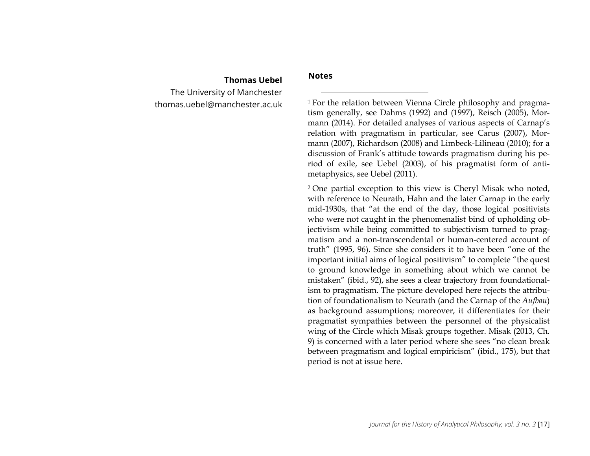## <span id="page-17-1"></span>**Thomas Uebel**

<span id="page-17-2"></span><span id="page-17-0"></span>The University of Manchester thomas.uebel@manchester.ac.uk

#### **Notes**

 $\overline{\phantom{a}}$ 

<sup>1</sup> For the relation between Vienna Circle philosophy and pragmatism generally, see Dahms (1992) and (1997), Reisch (2005), Mormann (2014). For detailed analyses of various aspects of Carnap's relation with pragmatism in particular, see Carus (2007), Mormann (2007), Richardson (2008) and Limbeck-Lilineau (2010); for a discussion of Frank's attitude towards pragmatism during his period of exile, see Uebel (2003), of his pragmatist form of antimetaphysics, see Uebel (2011).

<sup>2</sup> One partial exception to this view is Cheryl Misak who noted, with reference to Neurath, Hahn and the later Carnap in the early mid-1930s, that "at the end of the day, those logical positivists who were not caught in the phenomenalist bind of upholding objectivism while being committed to subjectivism turned to pragmatism and a non-transcendental or human-centered account of truth" (1995, 96). Since she considers it to have been "one of the important initial aims of logical positivism" to complete "the quest to ground knowledge in something about which we cannot be mistaken" (ibid., 92), she sees a clear trajectory from foundationalism to pragmatism. The picture developed here rejects the attribution of foundationalism to Neurath (and the Carnap of the *Aufbau*) as background assumptions; moreover, it differentiates for their pragmatist sympathies between the personnel of the physicalist wing of the Circle which Misak groups together. Misak (2013, Ch. 9) is concerned with a later period where she sees "no clean break between pragmatism and logical empiricism" (ibid., 175), but that period is not at issue here.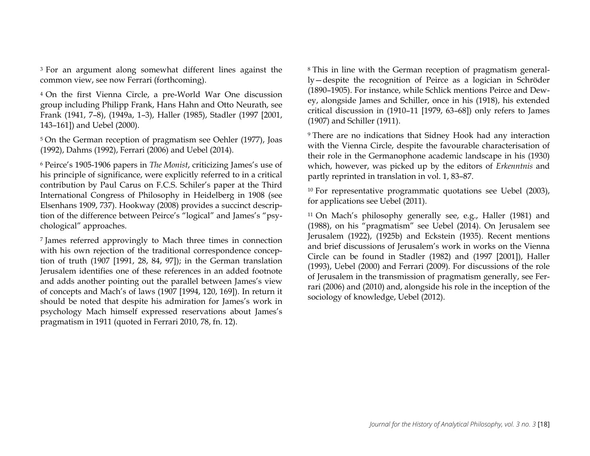<span id="page-18-2"></span><span id="page-18-1"></span><span id="page-18-0"></span><sup>3</sup> For an argument along somewhat different lines against the common view, see now Ferrari (forthcoming).

<sup>4</sup> On the first Vienna Circle, a pre-World War One discussion group including Philipp Frank, Hans Hahn and Otto Neurath, see Frank (1941, 7–8), (1949a, 1–3), Haller (1985), Stadler (1997 [2001, 143–161]) and Uebel (2000).

<sup>5</sup> On the German reception of pragmatism see Oehler (1977), Joas (1992), Dahms (1992), Ferrari (2006) and Uebel (2014).

<sup>6</sup> Peirce's 1905-1906 papers in *The Monist*, criticizing James's use of his principle of significance, were explicitly referred to in a critical contribution by Paul Carus on F.C.S. Schiler's paper at the Third International Congress of Philosophy in Heidelberg in 1908 (see Elsenhans 1909, 737). Hookway (2008) provides a succinct description of the difference between Peirce's "logical" and James's "psychological" approaches.

<sup>7</sup> James referred approvingly to Mach three times in connection with his own rejection of the traditional correspondence conception of truth (1907 [1991, 28, 84, 97]); in the German translation Jerusalem identifies one of these references in an added footnote and adds another pointing out the parallel between James's view of concepts and Mach's of laws (1907 [1994, 120, 169]). In return it should be noted that despite his admiration for James's work in psychology Mach himself expressed reservations about James's pragmatism in 1911 (quoted in Ferrari 2010, 78, fn. 12).

<sup>8</sup> This in line with the German reception of pragmatism generally—despite the recognition of Peirce as a logician in Schröder (1890–1905). For instance, while Schlick mentions Peirce and Dewey, alongside James and Schiller, once in his (1918), his extended critical discussion in (1910–11 [1979, 63–68]) only refers to James (1907) and Schiller (1911).

<sup>9</sup> There are no indications that Sidney Hook had any interaction with the Vienna Circle, despite the favourable characterisation of their role in the Germanophone academic landscape in his (1930) which, however, was picked up by the editors of *Erkenntnis* and partly reprinted in translation in vol. 1, 83–87.

<sup>10</sup> For representative programmatic quotations see Uebel (2003), for applications see Uebel (2011).

<sup>11</sup> On Mach's philosophy generally see, e.g., Haller (1981) and (1988), on his "pragmatism" see Uebel (2014). On Jerusalem see Jerusalem (1922), (1925b) and Eckstein (1935). Recent mentions and brief discussions of Jerusalem's work in works on the Vienna Circle can be found in Stadler (1982) and (1997 [2001]), Haller (1993), Uebel (2000) and Ferrari (2009). For discussions of the role of Jerusalem in the transmission of pragmatism generally, see Ferrari (2006) and (2010) and, alongside his role in the inception of the sociology of knowledge, Uebel (2012).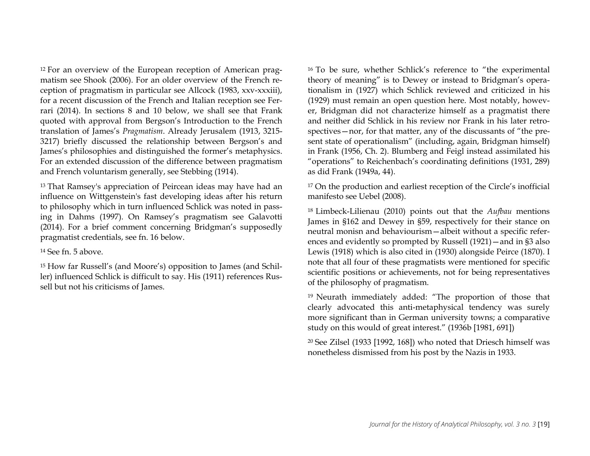<span id="page-19-2"></span><span id="page-19-1"></span><sup>12</sup> For an overview of the European reception of American pragmatism see Shook (2006). For an older overview of the French reception of pragmatism in particular see Allcock (1983, xxv-xxxiii), for a recent discussion of the French and Italian reception see Ferrari (2014). In sections 8 and 10 below, we shall see that Frank quoted with approval from Bergson's Introduction to the French translation of James's *Pragmatism*. Already Jerusalem (1913, 3215- 3217) briefly discussed the relationship between Bergson's and James's philosophies and distinguished the former's metaphysics. For an extended discussion of the difference between pragmatism and French voluntarism generally, see Stebbing (1914).

<sup>13</sup> That Ramsey's appreciation of Peircean ideas may have had an influence on Wittgenstein's fast developing ideas after his return to philosophy which in turn influenced Schlick was noted in passing in Dahms (1997). On Ramsey's pragmatism see Galavotti (2014). For a brief comment concerning Bridgman's supposedly pragmatist credentials, see fn. 16 below.

<sup>14</sup> See fn. 5 above.

<sup>15</sup> How far Russell's (and Moore's) opposition to James (and Schiller) influenced Schlick is difficult to say. His (1911) references Russell but not his criticisms of James.

<span id="page-19-3"></span><span id="page-19-0"></span><sup>16</sup> To be sure, whether Schlick's reference to "the experimental theory of meaning" is to Dewey or instead to Bridgman's operationalism in (1927) which Schlick reviewed and criticized in his (1929) must remain an open question here. Most notably, however, Bridgman did not characterize himself as a pragmatist there and neither did Schlick in his review nor Frank in his later retrospectives—nor, for that matter, any of the discussants of "the present state of operationalism" (including, again, Bridgman himself) in Frank (1956, Ch. 2). Blumberg and Feigl instead assimilated his "operations" to Reichenbach's coordinating definitions (1931, 289) as did Frank (1949a, 44).

<sup>17</sup> On the production and earliest reception of the Circle's inofficial manifesto see Uebel (2008).

<sup>18</sup> Limbeck-Lilienau (2010) points out that the *Aufbau* mentions James in §162 and Dewey in §59, respectively for their stance on neutral monisn and behaviourism—albeit without a specific references and evidently so prompted by Russell (1921)—and in §3 also Lewis (1918) which is also cited in (1930) alongside Peirce (1870). I note that all four of these pragmatists were mentioned for specific scientific positions or achievements, not for being representatives of the philosophy of pragmatism.

<sup>19</sup> Neurath immediately added: "The proportion of those that clearly advocated this anti-metaphysical tendency was surely more significant than in German university towns; a comparative study on this would of great interest." (1936b [1981, 691])

<sup>20</sup> See Zilsel (1933 [1992, 168]) who noted that Driesch himself was nonetheless dismissed from his post by the Nazis in 1933.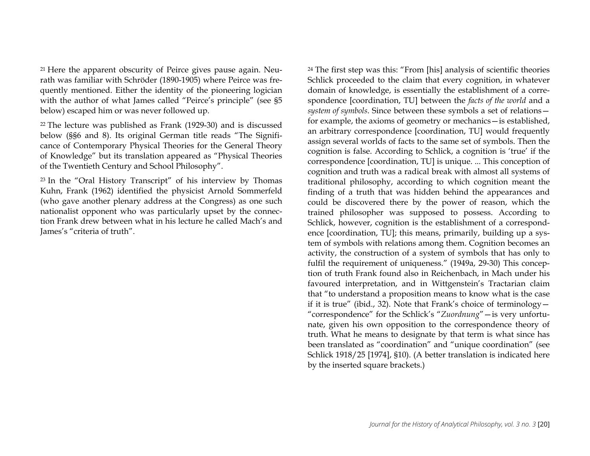<span id="page-20-1"></span><sup>21</sup> Here the apparent obscurity of Peirce gives pause again. Neurath was familiar with Schröder (1890-1905) where Peirce was frequently mentioned. Either the identity of the pioneering logician with the author of what James called "Peirce's principle" (see §5 below) escaped him or was never followed up.

<sup>22</sup> The lecture was published as Frank (1929-30) and is discussed below (§§6 and 8). Its original German title reads "The Significance of Contemporary Physical Theories for the General Theory of Knowledge" but its translation appeared as "Physical Theories of the Twentieth Century and School Philosophy".

<sup>23</sup> In the "Oral History Transcript" of his interview by Thomas Kuhn, Frank (1962) identified the physicist Arnold Sommerfeld (who gave another plenary address at the Congress) as one such nationalist opponent who was particularly upset by the connection Frank drew between what in his lecture he called Mach's and James's "criteria of truth".

<span id="page-20-3"></span><span id="page-20-2"></span><span id="page-20-0"></span><sup>24</sup> The first step was this: "From [his] analysis of scientific theories Schlick proceeded to the claim that every cognition, in whatever domain of knowledge, is essentially the establishment of a correspondence [coordination, TU] between the *facts of the world* and a *system of symbols*. Since between these symbols a set of relations for example, the axioms of geometry or mechanics—is established, an arbitrary correspondence [coordination, TU] would frequently assign several worlds of facts to the same set of symbols. Then the cognition is false. According to Schlick, a cognition is 'true' if the correspondence [coordination, TU] is unique. ... This conception of cognition and truth was a radical break with almost all systems of traditional philosophy, according to which cognition meant the finding of a truth that was hidden behind the appearances and could be discovered there by the power of reason, which the trained philosopher was supposed to possess. According to Schlick, however, cognition is the establishment of a correspondence [coordination, TU]; this means, primarily, building up a system of symbols with relations among them. Cognition becomes an activity, the construction of a system of symbols that has only to fulfil the requirement of uniqueness." (1949a, 29-30) This conception of truth Frank found also in Reichenbach, in Mach under his favoured interpretation, and in Wittgenstein's Tractarian claim that "to understand a proposition means to know what is the case if it is true" (ibid., 32). Note that Frank's choice of terminology— "correspondence" for the Schlick's "*Zuordnung*"—is very unfortunate, given his own opposition to the correspondence theory of truth. What he means to designate by that term is what since has been translated as "coordination" and "unique coordination" (see Schlick 1918/25 [1974], §10). (A better translation is indicated here by the inserted square brackets.)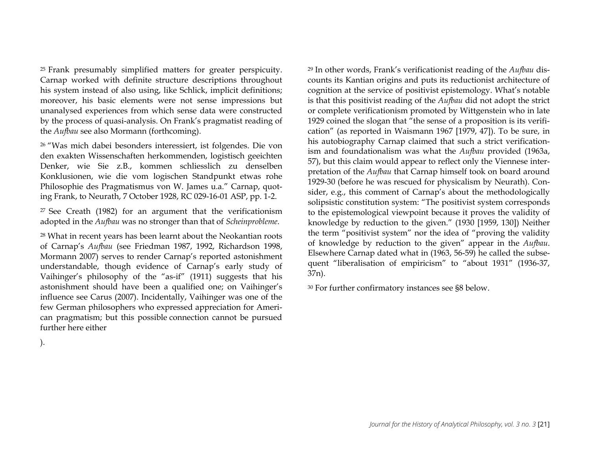<span id="page-21-1"></span><sup>25</sup> Frank presumably simplified matters for greater perspicuity. Carnap worked with definite structure descriptions throughout his system instead of also using, like Schlick, implicit definitions; moreover, his basic elements were not sense impressions but unanalysed experiences from which sense data were constructed by the process of quasi-analysis. On Frank's pragmatist reading of the *Aufbau* see also Mormann (forthcoming).

<sup>26</sup> "Was mich dabei besonders interessiert, ist folgendes. Die von den exakten Wissenschaften herkommenden, logistisch geeichten Denker, wie Sie z.B., kommen schliesslich zu denselben Konklusionen, wie die vom logischen Standpunkt etwas rohe Philosophie des Pragmatismus von W. James u.a." Carnap, quoting Frank, to Neurath, 7 October 1928, RC 029-16-01 ASP, pp. 1-2.

<sup>27</sup> See Creath (1982) for an argument that the verificationism adopted in the *Aufbau* was no stronger than that of *Scheinprobleme*.

<sup>28</sup> What in recent years has been learnt about the Neokantian roots of Carnap's *Aufbau* (see Friedman 1987, 1992, Richardson 1998, Mormann 2007) serves to render Carnap's reported astonishment understandable, though evidence of Carnap's early study of Vaihinger's philosophy of the "as-if" (1911) suggests that his astonishment should have been a qualified one; on Vaihinger's influence see Carus (2007). Incidentally, Vaihinger was one of the few German philosophers who expressed appreciation for American pragmatism; but this possible connection cannot be pursued further here either

<span id="page-21-2"></span><span id="page-21-0"></span><sup>29</sup> In other words, Frank's verificationist reading of the *Aufbau* discounts its Kantian origins and puts its reductionist architecture of cognition at the service of positivist epistemology. What's notable is that this positivist reading of the *Aufbau* did not adopt the strict or complete verificationism promoted by Wittgenstein who in late 1929 coined the slogan that "the sense of a proposition is its verification" (as reported in Waismann 1967 [1979, 47]). To be sure, in his autobiography Carnap claimed that such a strict verificationism and foundationalism was what the *Aufbau* provided (1963a, 57), but this claim would appear to reflect only the Viennese interpretation of the *Aufbau* that Carnap himself took on board around 1929-30 (before he was rescued for physicalism by Neurath). Consider, e.g., this comment of Carnap's about the methodologically solipsistic constitution system: "The positivist system corresponds to the epistemological viewpoint because it proves the validity of knowledge by reduction to the given." (1930 [1959, 130]) Neither the term "positivist system" nor the idea of "proving the validity of knowledge by reduction to the given" appear in the *Aufbau*. Elsewhere Carnap dated what in (1963, 56-59) he called the subsequent "liberalisation of empiricism" to "about 1931" (1936-37, 37n).

<sup>30</sup> For further confirmatory instances see §8 below.

).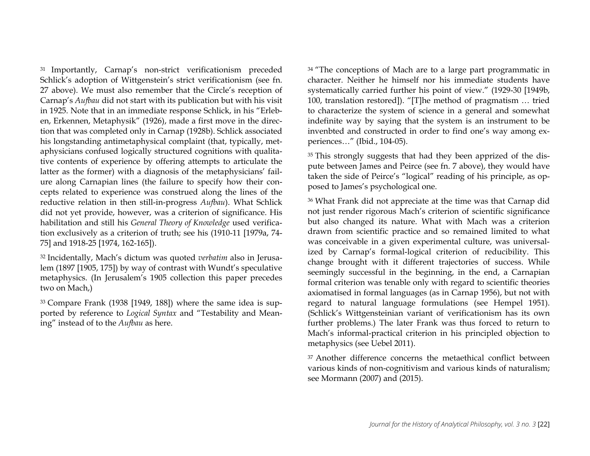<sup>31</sup> Importantly, Carnap's non-strict verificationism preceded Schlick's adoption of Wittgenstein's strict verificationism (see fn. 27 above). We must also remember that the Circle's reception of Carnap's *Aufbau* did not start with its publication but with his visit in 1925. Note that in an immediate response Schlick, in his "Erleben, Erkennen, Metaphysik" (1926), made a first move in the direction that was completed only in Carnap (1928b). Schlick associated his longstanding antimetaphysical complaint (that, typically, metaphysicians confused logically structured cognitions with qualitative contents of experience by offering attempts to articulate the latter as the former) with a diagnosis of the metaphysicians' failure along Carnapian lines (the failure to specify how their concepts related to experience was construed along the lines of the reductive relation in then still-in-progress *Aufbau*). What Schlick did not yet provide, however, was a criterion of significance. His habilitation and still his *General Theory of Knowledge* used verification exclusively as a criterion of truth; see his (1910-11 [1979a, 74- 75] and 1918-25 [1974, 162-165]).

<sup>32</sup> Incidentally, Mach's dictum was quoted *verbatim* also in Jerusalem (1897 [1905, 175]) by way of contrast with Wundt's speculative metaphysics. (In Jerusalem's 1905 collection this paper precedes two on Mach,)

<sup>33</sup> Compare Frank (1938 [1949, 188]) where the same idea is supported by reference to *Logical Syntax* and "Testability and Meaning" instead of to the *Aufbau* as here.

<span id="page-22-1"></span><span id="page-22-0"></span><sup>34</sup> "The conceptions of Mach are to a large part programmatic in character. Neither he himself nor his immediate students have systematically carried further his point of view." (1929-30 [1949b, 100, translation restored]). "[T]he method of pragmatism … tried to characterize the system of science in a general and somewhat indefinite way by saying that the system is an instrument to be invenbted and constructed in order to find one's way among experiences…" (Ibid., 104-05).

<sup>35</sup> This strongly suggests that had they been apprized of the dispute between James and Peirce (see fn. 7 above), they would have taken the side of Peirce's "logical" reading of his principle, as opposed to James's psychological one.

<sup>36</sup> What Frank did not appreciate at the time was that Carnap did not just render rigorous Mach's criterion of scientific significance but also changed its nature. What with Mach was a criterion drawn from scientific practice and so remained limited to what was conceivable in a given experimental culture, was universalized by Carnap's formal-logical criterion of reducibility. This change brought with it different trajectories of success. While seemingly successful in the beginning, in the end, a Carnapian formal criterion was tenable only with regard to scientific theories axiomatised in formal languages (as in Carnap 1956), but not with regard to natural language formulations (see Hempel 1951). (Schlick's Wittgensteinian variant of verificationism has its own further problems.) The later Frank was thus forced to return to Mach's informal-practical criterion in his principled objection to metaphysics (see Uebel 2011).

<sup>37</sup> Another difference concerns the metaethical conflict between various kinds of non-cognitivism and various kinds of naturalism; see Mormann (2007) and (2015).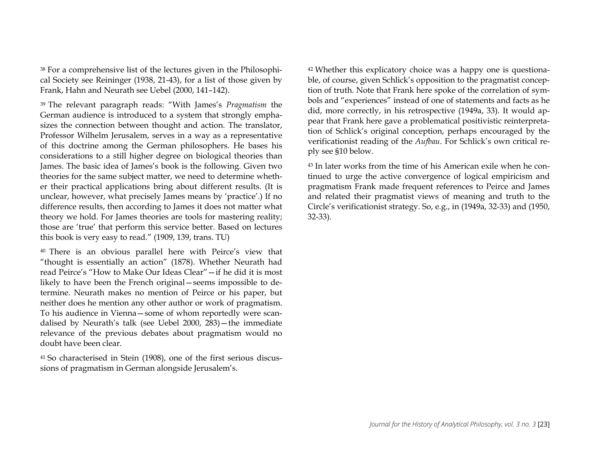<sup>38</sup> For a comprehensive list of the lectures given in the Philosophical Society see Reininger (1938, 21-43), for a list of those given by Frank, Hahn and Neurath see Uebel (2000, 141–142).

<sup>39</sup> The relevant paragraph reads: "With James's *Pragmatism* the German audience is introduced to a system that strongly emphasizes the connection between thought and action. The translator, Professor Wilhelm Jerusalem, serves in a way as a representative of this doctrine among the German philosophers. He bases his considerations to a still higher degree on biological theories than James. The basic idea of James's book is the following. Given two theories for the same subject matter, we need to determine whether their practical applications bring about different results. (It is unclear, however, what precisely James means by 'practice'.) If no difference results, then according to James it does not matter what theory we hold. For James theories are tools for mastering reality; those are 'true' that perform this service better. Based on lectures this book is very easy to read." (1909, 139, trans. TU)

<sup>40</sup> There is an obvious parallel here with Peirce's view that "thought is essentially an action" (1878). Whether Neurath had read Peirce's "How to Make Our Ideas Clear"—if he did it is most likely to have been the French original—seems impossible to determine. Neurath makes no mention of Peirce or his paper, but neither does he mention any other author or work of pragmatism. To his audience in Vienna—some of whom reportedly were scandalised by Neurath's talk (see Uebel 2000, 283)—the immediate relevance of the previous debates about pragmatism would no doubt have been clear.

<sup>41</sup> So characterised in Stein (1908), one of the first serious discussions of pragmatism in German alongside Jerusalem's.

<span id="page-23-0"></span><sup>42</sup> Whether this explicatory choice was a happy one is questionable, of course, given Schlick's opposition to the pragmatist conception of truth. Note that Frank here spoke of the correlation of symbols and "experiences" instead of one of statements and facts as he did, more correctly, in his retrospective (1949a, 33). It would appear that Frank here gave a problematical positivistic reinterpretation of Schlick's original conception, perhaps encouraged by the verificationist reading of the *Aufbau*. For Schlick's own critical reply see §10 below.

<sup>43</sup> In later works from the time of his American exile when he continued to urge the active convergence of logical empiricism and pragmatism Frank made frequent references to Peirce and James and related their pragmatist views of meaning and truth to the Circle's verificationist strategy. So, e.g., in (1949a, 32-33) and (1950, 32-33).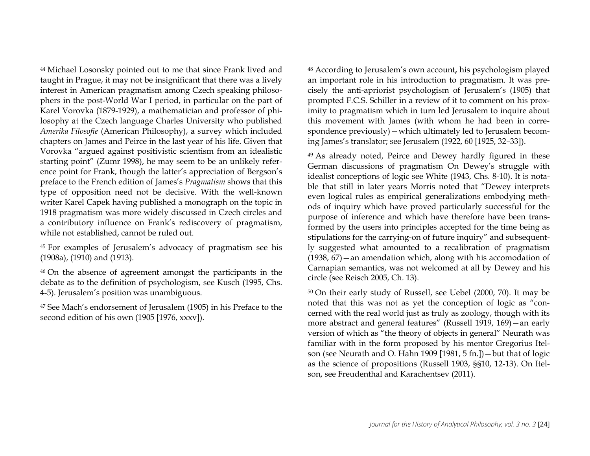<span id="page-24-1"></span><span id="page-24-0"></span><sup>44</sup> Michael Losonsky pointed out to me that since Frank lived and taught in Prague, it may not be insignificant that there was a lively interest in American pragmatism among Czech speaking philosophers in the post-World War I period, in particular on the part of Karel Vorovka (1879-1929), a mathematician and professor of philosophy at the Czech language Charles University who published *Amerika Filosofie* (American Philosophy), a survey which included chapters on James and Peirce in the last year of his life. Given that Vorovka "argued against positivistic scientism from an idealistic starting point" (Zumr 1998), he may seem to be an unlikely reference point for Frank, though the latter's appreciation of Bergson's preface to the French edition of James's *Pragmatism* shows that this type of opposition need not be decisive. With the well-known writer Karel Capek having published a monograph on the topic in 1918 pragmatism was more widely discussed in Czech circles and a contributory influence on Frank's rediscovery of pragmatism, while not established, cannot be ruled out.

<sup>45</sup> For examples of Jerusalem's advocacy of pragmatism see his (1908a), (1910) and (1913).

<sup>46</sup> On the absence of agreement amongst the participants in the debate as to the definition of psychologism, see Kusch (1995, Chs. 4-5). Jerusalem's position was unambiguous.

<sup>47</sup> See Mach's endorsement of Jerusalem (1905) in his Preface to the second edition of his own (1905 [1976, xxxv]).

<sup>48</sup> According to Jerusalem's own account**,** his psychologism played an important role in his introduction to pragmatism. It was precisely the anti-apriorist psychologism of Jerusalem's (1905) that prompted F.C.S. Schiller in a review of it to comment on his proximity to pragmatism which in turn led Jerusalem to inquire about this movement with James (with whom he had been in correspondence previously)—which ultimately led to Jerusalem becoming James's translator; see Jerusalem (1922, 60 [1925, 32–33]).

<sup>49</sup> As already noted, Peirce and Dewey hardly figured in these German discussions of pragmatism On Dewey's struggle with idealist conceptions of logic see White (1943, Chs. 8-10). It is notable that still in later years Morris noted that "Dewey interprets even logical rules as empirical generalizations embodying methods of inquiry which have proved particularly successful for the purpose of inference and which have therefore have been transformed by the users into principles accepted for the time being as stipulations for the carrying-on of future inquiry" and subsequently suggested what amounted to a recalibration of pragmatism (1938, 67)—an amendation which, along with his accomodation of Carnapian semantics, was not welcomed at all by Dewey and his circle (see Reisch 2005, Ch. 13).

<sup>50</sup> On their early study of Russell, see Uebel (2000, 70). It may be noted that this was not as yet the conception of logic as "concerned with the real world just as truly as zoology, though with its more abstract and general features" (Russell 1919, 169)—an early version of which as "the theory of objects in general" Neurath was familiar with in the form proposed by his mentor Gregorius Itelson (see Neurath and O. Hahn 1909 [1981, 5 fn.])—but that of logic as the science of propositions (Russell 1903, §§10, 12-13). On Itelson, see Freudenthal and Karachentsev (2011).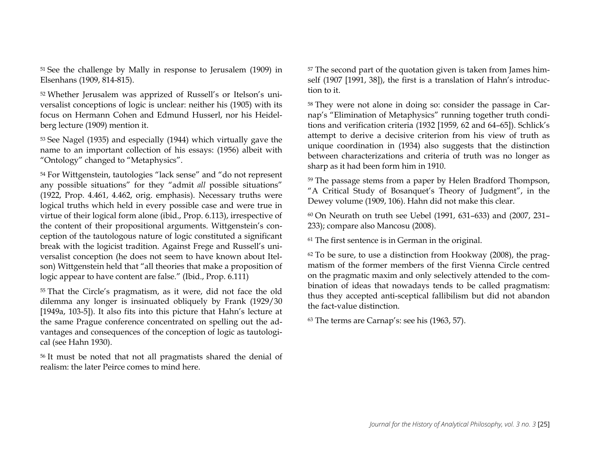<span id="page-25-1"></span><sup>51</sup> See the challenge by Mally in response to Jerusalem (1909) in Elsenhans (1909, 814-815).

<sup>52</sup> Whether Jerusalem was apprized of Russell's or Itelson's universalist conceptions of logic is unclear: neither his (1905) with its focus on Hermann Cohen and Edmund Husserl, nor his Heidelberg lecture (1909) mention it.

<sup>53</sup> See Nagel (1935) and especially (1944) which virtually gave the name to an important collection of his essays: (1956) albeit with "Ontology" changed to "Metaphysics".

<sup>54</sup> For Wittgenstein, tautologies "lack sense" and "do not represent any possible situations" for they "admit *all* possible situations" (1922, Prop. 4.461, 4.462, orig. emphasis). Necessary truths were logical truths which held in every possible case and were true in virtue of their logical form alone (ibid., Prop. 6.113), irrespective of the content of their propositional arguments. Wittgenstein's conception of the tautologous nature of logic constituted a significant break with the logicist tradition. Against Frege and Russell's universalist conception (he does not seem to have known about Itelson) Wittgenstein held that "all theories that make a proposition of logic appear to have content are false." (Ibid., Prop. 6.111)

<sup>55</sup> That the Circle's pragmatism, as it were, did not face the old dilemma any longer is insinuated obliquely by Frank (1929/30 [1949a, 103-5]). It also fits into this picture that Hahn's lecture at the same Prague conference concentrated on spelling out the advantages and consequences of the conception of logic as tautological (see Hahn 1930).

<sup>56</sup> It must be noted that not all pragmatists shared the denial of realism: the later Peirce comes to mind here.

<span id="page-25-0"></span><sup>57</sup> The second part of the quotation given is taken from James himself (1907 [1991, 38]), the first is a translation of Hahn's introduction to it.

<sup>58</sup> They were not alone in doing so: consider the passage in Carnap's "Elimination of Metaphysics" running together truth conditions and verification criteria (1932 [1959, 62 and 64–65]). Schlick's attempt to derive a decisive criterion from his view of truth as unique coordination in (1934) also suggests that the distinction between characterizations and criteria of truth was no longer as sharp as it had been form him in 1910.

<sup>59</sup> The passage stems from a paper by Helen Bradford Thompson, "A Critical Study of Bosanquet's Theory of Judgment", in the Dewey volume (1909, 106). Hahn did not make this clear.

<sup>60</sup> On Neurath on truth see Uebel (1991, 631–633) and (2007, 231– 233); compare also Mancosu (2008).

<sup>61</sup> The first sentence is in German in the original.

<sup>62</sup> To be sure, to use a distinction from Hookway (2008), the pragmatism of the former members of the first Vienna Circle centred on the pragmatic maxim and only selectively attended to the combination of ideas that nowadays tends to be called pragmatism: thus they accepted anti-sceptical fallibilism but did not abandon the fact-value distinction.

<sup>63</sup> The terms are Carnap's: see his (1963, 57).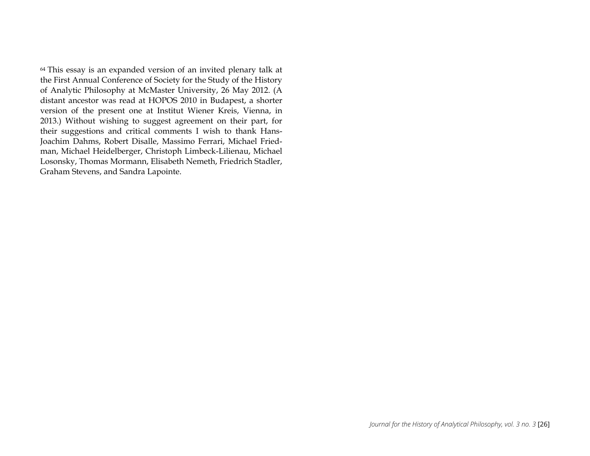<span id="page-26-2"></span><span id="page-26-1"></span><span id="page-26-0"></span><sup>64</sup> This essay is an expanded version of an invited plenary talk at the First Annual Conference of Society for the Study of the History of Analytic Philosophy at McMaster University, 26 May 2012. (A distant ancestor was read at HOPOS 2010 in Budapest, a shorter version of the present one at Institut Wiener Kreis, Vienna, in 2013.) Without wishing to suggest agreement on their part, for their suggestions and critical comments I wish to thank Hans-Joachim Dahms, Robert Disalle, Massimo Ferrari, Michael Friedman, Michael Heidelberger, Christoph Limbeck-Lilienau, Michael Losonsky, Thomas Mormann, Elisabeth Nemeth, Friedrich Stadler, Graham Stevens, and Sandra Lapointe.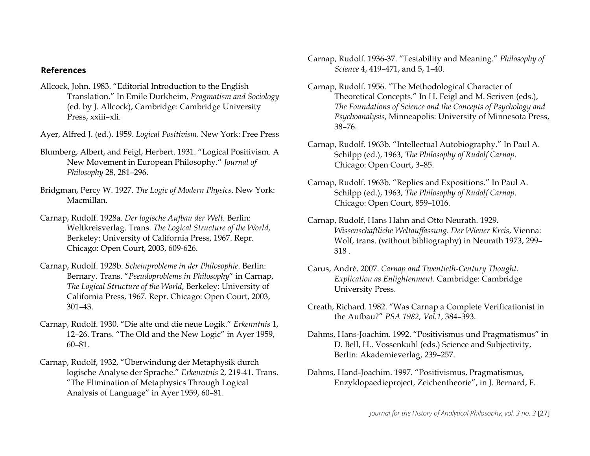### <span id="page-27-0"></span>**References**

Allcock, John. 1983. "Editorial Introduction to the English Translation." In Emile Durkheim, *Pragmatism and Sociology* (ed. by J. Allcock), Cambridge: Cambridge University Press, xxiii–xli.

Ayer, Alfred J. (ed.). 1959. *Logical Positivism*. New York: Free Press

- Blumberg, Albert, and Feigl, Herbert. 1931. "Logical Positivism. A New Movement in European Philosophy." *Journal of Philosophy* 28, 281–296.
- Bridgman, Percy W. 1927. *The Logic of Modern Physics*. New York: Macmillan.
- Carnap, Rudolf. 1928a. *Der logische Aufbau der Welt*. Berlin: Weltkreisverlag. Trans. *The Logical Structure of the World*, Berkeley: University of California Press, 1967. Repr. Chicago: Open Court, 2003, 609-626.
- Carnap, Rudolf. 1928b. *Scheinprobleme in der Philosophie*. Berlin: Bernary. Trans. "*Pseudoproblems in Philosophy*" in Carnap, *The Logical Structure of the World*, Berkeley: University of California Press, 1967. Repr. Chicago: Open Court, 2003, 301–43.
- Carnap, Rudolf. 1930. "Die alte und die neue Logik." *Erkenntnis* 1, 12–26. Trans. "The Old and the New Logic" in Ayer 1959, 60–81.
- Carnap, Rudolf, 1932, "Überwindung der Metaphysik durch logische Analyse der Sprache." *Erkenntnis* 2, 219-41. Trans. "The Elimination of Metaphysics Through Logical Analysis of Language" in Ayer 1959, 60–81.
- <span id="page-27-1"></span>Carnap, Rudolf. 1936-37. "Testability and Meaning." *Philosophy of Science* 4, 419–471, and 5, 1–40.
- Carnap, Rudolf. 1956. "The Methodological Character of Theoretical Concepts." In H. Feigl and M. Scriven (eds.), *The Foundations of Science and the Concepts of Psychology and Psychoanalysis*, Minneapolis: University of Minnesota Press, 38–76.
- Carnap, Rudolf. 1963b. "Intellectual Autobiography." In Paul A. Schilpp (ed.), 1963, *The Philosophy of Rudolf Carnap*. Chicago: Open Court, 3–85.
- Carnap, Rudolf. 1963b. "Replies and Expositions." In Paul A. Schilpp (ed.), 1963, *The Philosophy of Rudolf Carnap*. Chicago: Open Court, 859–1016.
- Carnap, Rudolf, Hans Hahn and Otto Neurath. 1929. *Wissenschaftliche Weltauffassung. Der Wiener Kreis*, Vienna: Wolf, trans. (without bibliography) in Neurath 1973, 299– 318 .
- Carus, André. 2007. *Carnap and Twentieth-Century Thought. Explication as Enlightenment*. Cambridge: Cambridge University Press.
- Creath, Richard. 1982. "Was Carnap a Complete Verificationist in the Aufbau?" *PSA 1982, Vol.1*, 384–393.
- Dahms, Hans-Joachim. 1992. "Positivismus und Pragmatismus" in D. Bell, H.. Vossenkuhl (eds.) Science and Subjectivity, Berlin: Akademieverlag, 239–257.
- Dahms, Hand-Joachim. 1997. "Positivismus, Pragmatismus, Enzyklopaedieproject, Zeichentheorie", in J. Bernard, F.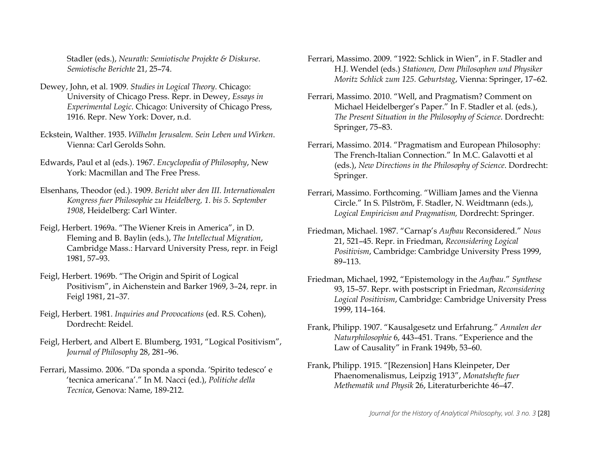<span id="page-28-0"></span>Stadler (eds.), *Neurath: Semiotische Projekte & Diskurse*. *Semiotische Berichte* 21, 25–74.

- Dewey, John, et al. 1909. *Studies in Logical Theory*. Chicago: University of Chicago Press. Repr. in Dewey, *Essays in Experimental Logic*. Chicago: University of Chicago Press, 1916. Repr. New York: Dover, n.d.
- Eckstein, Walther. 1935. *Wilhelm Jerusalem. Sein Leben und Wirken*. Vienna: Carl Gerolds Sohn.
- Edwards, Paul et al (eds.). 1967. *Encyclopedia of Philosophy*, New York: Macmillan and The Free Press.
- Elsenhans, Theodor (ed.). 1909. *Bericht uber den III. Internationalen Kongress fuer Philosophie zu Heidelberg, 1. bis 5. September 1908*, Heidelberg: Carl Winter.
- Feigl, Herbert. 1969a. "The Wiener Kreis in America", in D. Fleming and B. Baylin (eds.), *The Intellectual Migration*, Cambridge Mass.: Harvard University Press, repr. in Feigl 1981, 57–93.
- Feigl, Herbert. 1969b. "The Origin and Spirit of Logical Positivism", in Aichenstein and Barker 1969, 3–24, repr. in Feigl 1981, 21–37.
- Feigl, Herbert. 1981. *Inquiries and Provocations* (ed. R.S. Cohen), Dordrecht: Reidel.
- Feigl, Herbert, and Albert E. Blumberg, 1931, "Logical Positivism", *Journal of Philosophy* 28, 281–96.
- Ferrari, Massimo. 2006. "Da sponda a sponda. 'Spirito tedesco' e 'tecnica americana'." In M. Nacci (ed.), *Politiche della Tecnica*, Genova: Name, 189-212.
- <span id="page-28-2"></span><span id="page-28-1"></span>Ferrari, Massimo. 2009. "1922: Schlick in Wien", in F. Stadler and H.J. Wendel (eds.) *Stationen, Dem Philosophen und Physiker Moritz Schlick zum 125. Geburtstag*, Vienna: Springer, 17–62.
- Ferrari, Massimo. 2010. "Well, and Pragmatism? Comment on Michael Heidelberger's Paper." In F. Stadler et al. (eds.), *The Present Situation in the Philosophy of Science*. Dordrecht: Springer, 75–83.
- Ferrari, Massimo. 2014. "Pragmatism and European Philosophy: The French-Italian Connection." In M.C. Galavotti et al (eds.), *New Directions in the Philosophy of Science*. Dordrecht: Springer.
- Ferrari, Massimo. Forthcoming. "William James and the Vienna Circle." In S. Pilström, F. Stadler, N. Weidtmann (eds.), *Logical Empiricism and Pragmatism,* Dordrecht: Springer.
- Friedman, Michael. 1987. "Carnap's *Aufbau* Reconsidered." *Nous* 21, 521–45. Repr. in Friedman, *Reconsidering Logical Positivism*, Cambridge: Cambridge University Press 1999, 89–113.
- Friedman, Michael, 1992, "Epistemology in the *Aufbau.*" *Synthese* 93, 15–57. Repr. with postscript in Friedman, *Reconsidering Logical Positivism*, Cambridge: Cambridge University Press 1999, 114–164.
- Frank, Philipp. 1907. "Kausalgesetz und Erfahrung." *Annalen der Naturphilosophie* 6, 443–451. Trans. "Experience and the Law of Causality" in Frank 1949b, 53–60.
- Frank, Philipp. 1915. "[Rezension] Hans Kleinpeter, Der Phaenomenalismus, Leipzig 1913", *Monatshefte fuer Methematik und Physik* 26, Literaturberichte 46–47.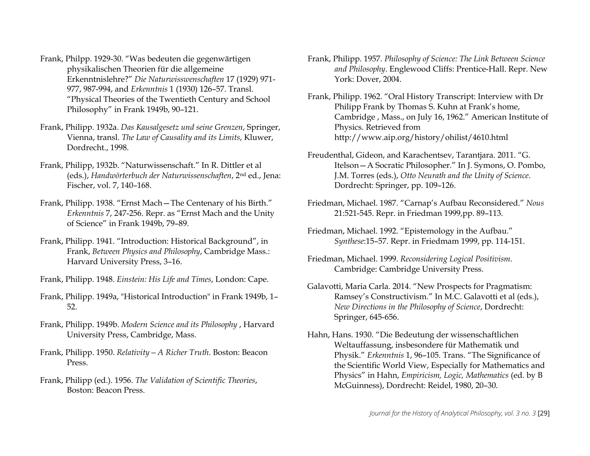- <span id="page-29-1"></span><span id="page-29-0"></span>Frank, Philpp. 1929-30. "Was bedeuten die gegenwärtigen physikalischen Theorien für die allgemeine Erkenntnislehre?" *Die Naturwisswenschaften* 17 (1929) 971- 977, 987-994, and *Erkenntnis* 1 (1930) 126–57. Transl. "Physical Theories of the Twentieth Century and School Philosophy" in Frank 1949b, 90–121.
- Frank, Philipp. 1932a. *Das Kausalgesetz und seine Grenzen*, Springer, Vienna, transl. *The Law of Causality and its Limits*, Kluwer, Dordrecht., 1998.
- Frank, Philipp, 1932b. "Naturwissenschaft." In R. Dittler et al (eds.), *Handwörterbuch der Naturwissenschaften*, 2nd ed., Jena: Fischer, vol. 7, 140–168.
- Frank, Philipp. 1938. "Ernst Mach—The Centenary of his Birth." *Erkenntnis* 7, 247-256. Repr. as "Ernst Mach and the Unity of Science" in Frank 1949b, 79–89.
- Frank, Philipp. 1941. "Introduction: Historical Background", in Frank, *Between Physics and Philosophy*, Cambridge Mass.: Harvard University Press, 3–16.
- Frank, Philipp. 1948. *Einstein: His Life and Times*, London: Cape.
- Frank, Philipp. 1949a, "Historical Introduction" in Frank 1949b, 1– 52.
- Frank, Philipp. 1949b. *Modern Science and its Philosophy* , Harvard University Press, Cambridge, Mass.
- Frank, Philipp. 1950. *Relativity—A Richer Truth*. Boston: Beacon Press.
- Frank, Philipp (ed.). 1956. *The Validation of Scientific Theories*, Boston: Beacon Press.
- <span id="page-29-3"></span><span id="page-29-2"></span>Frank, Philipp. 1957. *Philosophy of Science: The Link Between Science and Philosophy*. Englewood Cliffs: Prentice-Hall. Repr. New York: Dover, 2004.
- Frank, Philipp. 1962. "Oral History Transcript: Interview with Dr Philipp Frank by Thomas S. Kuhn at Frank's home, Cambridge , Mass., on July 16, 1962." American Institute of Physics. Retrieved from http://www.aip.org/history/ohilist/4610.html
- Freudenthal, Gideon, and Karachentsev, Tarantjara. 2011. "G. Itelson—A Socratic Philosopher." In J. Symons, O. Pombo, J.M. Torres (eds.), *Otto Neurath and the Unity of Science*. Dordrecht: Springer, pp. 109–126.
- Friedman, Michael. 1987. "Carnap's Aufbau Reconsidered." *Nous* 21:521-545. Repr. in Friedman 1999,pp. 89–113.
- Friedman, Michael. 1992. "Epistemology in the Aufbau." *Synthese*:15–57. Repr. in Friedmam 1999, pp. 114-151.
- Friedman, Michael. 1999. *Reconsidering Logical Positivism*. Cambridge: Cambridge University Press.
- Galavotti, Maria Carla. 2014. "New Prospects for Pragmatism: Ramsey's Constructivism." In M.C. Galavotti et al (eds.), *New Directions in the Philosophy of Science*, Dordrecht: Springer, 645-656.
- Hahn, Hans. 1930. "Die Bedeutung der wissenschaftlichen Weltauffassung, insbesondere für Mathematik und Physik." *Erkenntnis* 1, 96–105. Trans. "The Significance of the Scientific World View, Especially for Mathematics and Physics" in Hahn, *Empiricism, Logic, Mathematics* (ed. by B McGuinness), Dordrecht: Reidel, 1980, 20–30.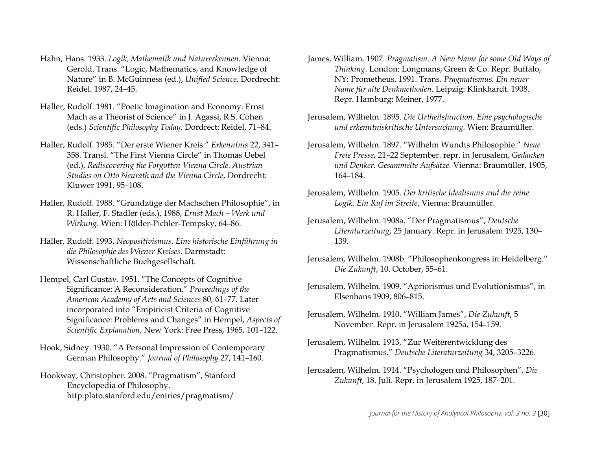- <span id="page-30-0"></span>Hahn, Hans. 1933. *Logik, Mathematik und Naturerkennen*. Vienna: Gerold. Trans. "Logic, Mathematics, and Knowledge of Nature" in B. McGuinness (ed.), *Unified Science*, Dordrecht: Reidel. 1987, 24–45.
- Haller, Rudolf. 1981. "Poetic Imagination and Economy. Ernst Mach as a Theorist of Science" in J. Agassi, R.S. Cohen (eds.) *Scientific Philosophy Today*. Dordrect: Reidel, 71–84.
- Haller, Rudolf. 1985. "Der erste Wiener Kreis." *Erkenntnis* 22, 341– 358. Transl. "The First Vienna Circle" in Thomas Uebel (ed.), *Rediscovering the Forgotten Vienna Circle. Austrian Studies on Otto Neurath and the Vienna Circle*, Dordrecht: Kluwer 1991, 95–108.
- Haller, Rudolf. 1988. "Grundzüge der Machschen Philosophie", in R. Haller, F. Stadler (eds.), 1988, *Ernst Mach—Werk und Wirkung*. Wien: Hölder-Pichler-Tempsky, 64–86.
- Haller, Rudolf. 1993. *Neopositivismus. Eine historische Einführung in die Philosophie des Wiener Kreises*, Darmstadt: Wissenschaftliche Buchgesellschaft.
- Hempel, Carl Gustav. 1951. "The Concepts of Cognitive Significance: A Reconsideration." *Proceedings of the American Academy of Arts and Sciences* 80, 61–77. Later incorporated into "Empiricist Criteria of Cognitive Significance: Problems and Changes" in Hempel, *Aspects of Scientific Explanation*, New York: Free Press, 1965, 101–122.
- Hook, Sidney. 1930. "A Personal Impression of Contemporary German Philosophy." *Journal of Philosophy* 27, 141–160.
- Hookway, Christopher. 2008. "Pragmatism", Stanford Encyclopedia of Philosophy. http:plato.stanford.edu/entries/pragmatism/
- <span id="page-30-1"></span>James, William. 1907. *Pragmatism. A New Name for some Old Ways of Thinking*. London: Longmans, Green & Co. Repr. Buffalo, NY: Prometheus, 1991. Trans. *Pragmatismus. Ein neuer Name für alte Denkmethoden*. Leipzig: Klinkhardt. 1908. Repr. Hamburg: Meiner, 1977.
- Jerusalem, Wilhelm. 1895. *Die Urtheilsfunction. Eine psychologische und erkenntniskritische Untersuchung.* Wien: Braumüller.
- Jerusalem, Wilhelm. 1897. "Wilhelm Wundts Philosophie." *Neue Freie Presse*, 21–22 September. repr. in Jerusalem, *Gedanken und Denker*. *Gesammelte Aufsätze.* Vienna: Braumüller, 1905, 164–184.
- Jerusalem, Wilhelm. 1905. *Der kritische Idealismus und die reine Logik. Ein Ruf im Streite*. Vienna: Braumüller.
- Jerusalem, Wilhelm. 1908a. "Der Pragmatismus", *Deutsche Literaturzeitung*, 25 January. Repr. in Jerusalem 1925, 130– 139.
- Jerusalem, Wilhelm. 1908b. "Philosophenkongress in Heidelberg." *Die Zukunft*, 10. October, 55–61.
- Jerusalem, Wilhelm. 1909, "Apriorismus und Evolutionismus", in Elsenhans 1909, 806–815.
- Jerusalem, Wilhelm. 1910. "William James", *Die Zukunft*, 5 November. Repr. in Jerusalem 1925a, 154–159.
- Jerusalem, Wilhelm. 1913, "Zur Weiterentwicklung des Pragmatismus." *Deutsche Literaturzeitung* 34, 3205–3226.
- Jerusalem, Wilhelm. 1914. "Psychologen und Philosophen", *Die Zukunft*, 18. Juli. Repr. in Jerusalem 1925, 187–201.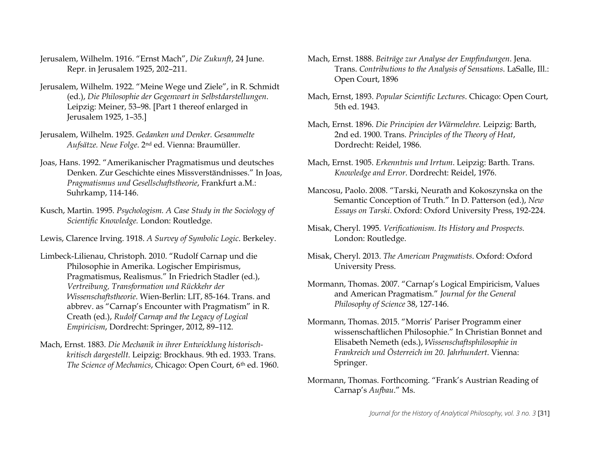- Jerusalem, Wilhelm. 1916. "Ernst Mach", *Die Zukunft*, 24 June. Repr. in Jerusalem 1925, 202–211.
- Jerusalem, Wilhelm. 1922. "Meine Wege und Ziele", in R. Schmidt (ed.), *Die Philosophie der Gegenwart in Selbstdarstellungen*. Leipzig: Meiner, 53–98. [Part 1 thereof enlarged in Jerusalem 1925, 1–35.]
- Jerusalem, Wilhelm. 1925. *Gedanken und Denker. Gesammelte Aufsätze. Neue Folge*. 2nd ed. Vienna: Braumüller.
- Joas, Hans. 1992. "Amerikanischer Pragmatismus und deutsches Denken. Zur Geschichte eines Missverständnisses." In Joas, *Pragmatismus und Gesellschaftstheorie*, Frankfurt a.M.: Suhrkamp, 114-146.
- Kusch, Martin. 1995. *Psychologism. A Case Study in the Sociology of Scientific Knowledge.* London: Routledge.
- Lewis, Clarence Irving. 1918. *A Survey of Symbolic Logic*. Berkeley.
- Limbeck-Lilienau, Christoph. 2010. "Rudolf Carnap und die Philosophie in Amerika. Logischer Empirismus, Pragmatismus, Realismus." In Friedrich Stadler (ed.), *Vertreibung, Transformation und Rückkehr der Wissenschaftstheorie*. Wien-Berlin: LIT, 85-164. Trans. and abbrev. as "Carnap's Encounter with Pragmatism" in R. Creath (ed.), *Rudolf Carnap and the Legacy of Logical Empiricism*, Dordrecht: Springer, 2012, 89–112.
- Mach, Ernst. 1883. *Die Mechanik in ihrer Entwicklung historischkritisch dargestellt*. Leipzig: Brockhaus. 9th ed. 1933. Trans. *The Science of Mechanics*, Chicago: Open Court, 6th ed. 1960.
- <span id="page-31-0"></span>Mach, Ernst. 1888. *Beiträge zur Analyse der Empfindungen*. Jena. Trans. *Contributions to the Analysis of Sensations*. LaSalle, Ill.: Open Court, 1896
- Mach, Ernst, 1893. *Popular Scientific Lectures*. Chicago: Open Court, 5th ed. 1943.
- Mach, Ernst. 1896. *Die Principien der Wärmelehre.* Leipzig: Barth, 2nd ed. 1900. Trans. *Principles of the Theory of Heat*, Dordrecht: Reidel, 1986.
- Mach, Ernst. 1905. *Erkenntnis und Irrtum*. Leipzig: Barth. Trans. *Knowledge and Error*. Dordrecht: Reidel, 1976.
- Mancosu, Paolo. 2008. "Tarski, Neurath and Kokoszynska on the Semantic Conception of Truth." In D. Patterson (ed.), *New Essays on Tarski*. Oxford: Oxford University Press, 192-224.
- Misak, Cheryl. 1995. *Verificationism. Its History and Prospects.* London: Routledge.
- Misak, Cheryl. 2013. *The American Pragmatists*. Oxford: Oxford University Press.
- Mormann, Thomas. 2007. "Carnap's Logical Empiricism, Values and American Pragmatism." *Journal for the General Philosophy of Science* 38, 127-146.
- Mormann, Thomas. 2015. "Morris' Pariser Programm einer wissenschaftlichen Philosophie." In Christian Bonnet and Elisabeth Nemeth (eds.), *Wissenschaftsphilosophie in Frankreich und Österreich im 20. Jahrhundert*. Vienna: Springer.
- Mormann, Thomas. Forthcoming. "Frank's Austrian Reading of Carnap's *Aufbau*." Ms.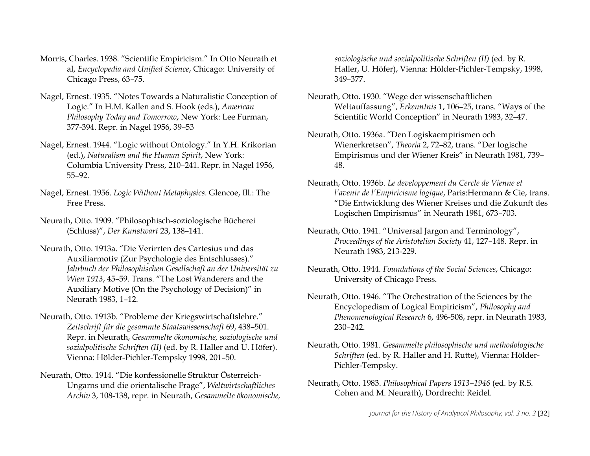- <span id="page-32-1"></span><span id="page-32-0"></span>Morris, Charles. 1938. "Scientific Empiricism." In Otto Neurath et al, *Encyclopedia and Unified Science*, Chicago: University of Chicago Press, 63–75.
- Nagel, Ernest. 1935. "Notes Towards a Naturalistic Conception of Logic." In H.M. Kallen and S. Hook (eds.), *American Philosophy Today and Tomorrow*, New York: Lee Furman, 377-394. Repr. in Nagel 1956, 39–53
- Nagel, Ernest. 1944. "Logic without Ontology." In Y.H. Krikorian (ed.), *Naturalism and the Human Spirit*, New York: Columbia University Press, 210–241. Repr. in Nagel 1956, 55–92.
- Nagel, Ernest. 1956. *Logic Without Metaphysics*. Glencoe, Ill.: The Free Press.
- Neurath, Otto. 1909. "Philosophisch-soziologische Bücherei (Schluss)", *Der Kunstwart* 23, 138–141.
- Neurath, Otto. 1913a. "Die Verirrten des Cartesius und das Auxiliarmotiv (Zur Psychologie des Entschlusses)." *Jahrbuch der Philosophischen Gesellschaft an der Universität zu Wien 1913*, 45–59. Trans. "The Lost Wanderers and the Auxiliary Motive (On the Psychology of Decision)" in Neurath 1983, 1–12.
- Neurath, Otto. 1913b. "Probleme der Kriegswirtschaftslehre." *Zeitschrift für die gesammte Staatswissenschaft* 69, 438–501. Repr. in Neurath, *Gesammelte ökonomische, soziologische und sozialpolitische Schriften (II)* (ed. by R. Haller and U. Höfer). Vienna: Hölder-Pichler-Tempsky 1998, 201–50.
- Neurath, Otto. 1914. "Die konfessionelle Struktur Österreich-Ungarns und die orientalische Frage", *Weltwirtschaftliches Archiv* 3, 108-138, repr. in Neurath, *Gesammelte ökonomische,*

<span id="page-32-3"></span><span id="page-32-2"></span>*soziologische und sozialpolitische Schriften (II)* (ed. by R. Haller, U. Höfer), Vienna: Hölder-Pichler-Tempsky, 1998, 349–377.

- Neurath, Otto. 1930. "Wege der wissenschaftlichen Weltauffassung", *Erkenntnis* 1, 106–25, trans. "Ways of the Scientific World Conception" in Neurath 1983, 32–47.
- Neurath, Otto. 1936a. "Den Logiskaempirismen och Wienerkretsen", *Theoria* 2, 72–82, trans. "Der logische Empirismus und der Wiener Kreis" in Neurath 1981, 739– 48.
- Neurath, Otto. 1936b. *Le developpement du Cercle de Vienne et l'avenir de l'Empiricisme logique*, Paris:Hermann & Cie, trans. "Die Entwicklung des Wiener Kreises und die Zukunft des Logischen Empirismus" in Neurath 1981, 673–703.
- Neurath, Otto. 1941. "Universal Jargon and Terminology", *Proceedings of the Aristotelian Society* 41, 127–148. Repr. in Neurath 1983, 213-229.
- Neurath, Otto. 1944. *Foundations of the Social Sciences*, Chicago: University of Chicago Press.
- Neurath, Otto. 1946. "The Orchestration of the Sciences by the Encyclopedism of Logical Empiricism", *Philosophy and Phenomenological Research* 6, 496-508, repr. in Neurath 1983, 230–242.
- Neurath, Otto. 1981. *Gesammelte philosophische und methodologische Schriften* (ed. by R. Haller and H. Rutte), Vienna: Hölder-Pichler-Tempsky.
- Neurath, Otto. 1983. *Philosophical Papers 1913–1946* (ed. by R.S. Cohen and M. Neurath), Dordrecht: Reidel.

*Journal for the History of Analytical Philosophy, vol. 3 no. 3* [32]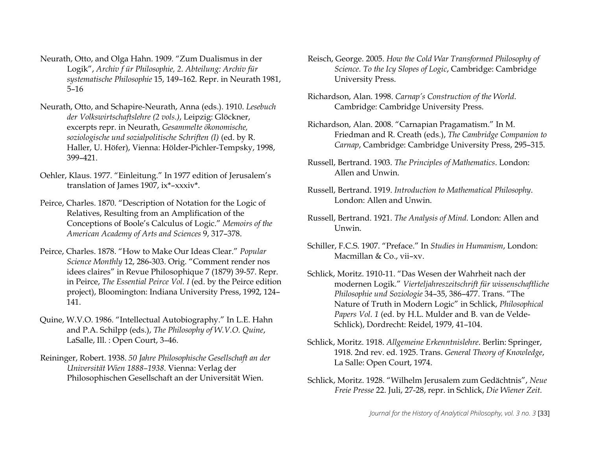- <span id="page-33-1"></span>Neurath, Otto, and Olga Hahn. 1909. "Zum Dualismus in der Logik", *Archiv f ür Philosophie, 2. Abteilung: Archiv für systematische Philosophie* 15, 149–162. Repr. in Neurath 1981, 5–16
- Neurath, Otto, and Schapire-Neurath, Anna (eds.). 1910. *Lesebuch der Volkswirtschaftslehre (2 vols.)*, Leipzig: Glöckner, excerpts repr. in Neurath, *Gesammelte ökonomische, soziologische und sozialpolitische Schriften (I)* (ed. by R. Haller, U. Höfer), Vienna: Hölder-Pichler-Tempsky, 1998, 399–421.
- Oehler, Klaus. 1977. "Einleitung." In 1977 edition of Jerusalem's translation of James 1907, ix\*–xxxiv\*.
- Peirce, Charles. 1870. "Description of Notation for the Logic of Relatives, Resulting from an Amplification of the Conceptions of Boole's Calculus of Logic." *Memoirs of the American Academy of Arts and Sciences* 9, 317–378.
- Peirce, Charles. 1878. "How to Make Our Ideas Clear." *Popular Science Monthly* 12, 286-303. Orig. "Comment render nos idees claires" in Revue Philosophique 7 (1879) 39-57. Repr. in Peirce, *The Essential Peirce Vol. I* (ed. by the Peirce edition project), Bloomington: Indiana University Press, 1992, 124– 141.
- Quine, W.V.O. 1986. "Intellectual Autobiography." In L.E. Hahn and P.A. Schilpp (eds.), *The Philosophy of W.V.O. Quine*, LaSalle, Ill. : Open Court, 3–46.
- Reininger, Robert. 1938. *50 Jahre Philosophische Gesellschaft an der Universität Wien 1888–1938*. Vienna: Verlag der Philosophischen Gesellschaft an der Universität Wien.
- <span id="page-33-0"></span>Reisch, George. 2005. *How the Cold War Transformed Philosophy of Science. To the Icy Slopes of Logic*, Cambridge: Cambridge University Press.
- Richardson, Alan. 1998. *Carnap's Construction of the World*. Cambridge: Cambridge University Press.
- Richardson, Alan. 2008. "Carnapian Pragamatism." In M. Friedman and R. Creath (eds.), *The Cambridge Companion to Carnap*, Cambridge: Cambridge University Press, 295–315.
- Russell, Bertrand. 1903. *The Principles of Mathematics*. London: Allen and Unwin.
- Russell, Bertrand. 1919. *Introduction to Mathematical Philosophy*. London: Allen and Unwin.
- Russell, Bertrand. 1921. *The Analysis of Mind.* London: Allen and Unwin.
- Schiller, F.C.S. 1907. "Preface." In *Studies in Humanism*, London: Macmillan & Co., vii–xv.
- Schlick, Moritz. 1910-11. "Das Wesen der Wahrheit nach der modernen Logik." *Vierteljahreszeitschrift für wissenschaftliche Philosophie und Soziologie* 34–35, 386–477. Trans. "The Nature of Truth in Modern Logic" in Schlick, *Philosophical Papers Vol. 1* (ed. by H.L. Mulder and B. van de Velde-Schlick), Dordrecht: Reidel, 1979, 41–104.
- Schlick, Moritz. 1918. *Allgemeine Erkenntnislehre*. Berlin: Springer, 1918. 2nd rev. ed. 1925. Trans. *General Theory of Knowledge*, La Salle: Open Court, 1974.
- Schlick, Moritz. 1928. "Wilhelm Jerusalem zum Gedächtnis", *Neue Freie Presse* 22. Juli, 27-28, repr. in Schlick, *Die Wiener Zeit.*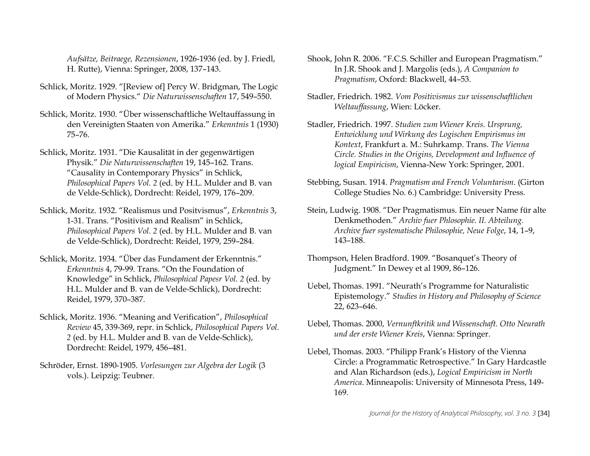<span id="page-34-0"></span>*Aufsätze, Beitraege, Rezensionen*, 1926-1936 (ed. by J. Friedl, H. Rutte), Vienna: Springer, 2008, 137–143.

- Schlick, Moritz. 1929. "[Review of] Percy W. Bridgman, The Logic of Modern Physics." *Die Naturwissenschaften* 17, 549–550.
- Schlick, Moritz. 1930. "Über wissenschaftliche Weltauffassung in den Vereinigten Staaten von Amerika." *Erkenntnis* 1 (1930) 75–76.
- Schlick, Moritz. 1931. "Die Kausalität in der gegenwärtigen Physik." *Die Naturwissenschaften* 19, 145–162. Trans. "Causality in Contemporary Physics" in Schlick, *Philosophical Papers Vol. 2* (ed. by H.L. Mulder and B. van de Velde-Schlick), Dordrecht: Reidel, 1979, 176–209.
- Schlick, Moritz. 1932. "Realismus und Positvismus", *Erkenntnis* 3, 1-31. Trans. "Positivism and Realism" in Schlick, *Philosophical Papers Vol. 2* (ed. by H.L. Mulder and B. van de Velde-Schlick), Dordrecht: Reidel, 1979, 259–284.
- Schlick, Moritz. 1934. "Über das Fundament der Erkenntnis." *Erkenntnis* 4, 79-99. Trans. "On the Foundation of Knowledge" in Schlick, *Philosophical Papesr Vol. 2* (ed. by H.L. Mulder and B. van de Velde-Schlick), Dordrecht: Reidel, 1979, 370–387.
- Schlick, Moritz. 1936. "Meaning and Verification", *Philosophical Review* 45, 339-369, repr. in Schlick, *Philosophical Papers Vol. 2* (ed. by H.L. Mulder and B. van de Velde-Schlick), Dordrecht: Reidel, 1979, 456–481.
- Schröder, Ernst. 1890-1905. *Vorlesungen zur Algebra der Logik* (3 vols.). Leipzig: Teubner.
- <span id="page-34-1"></span>Shook, John R. 2006. "F.C.S. Schiller and European Pragmatism." In J.R. Shook and J. Margolis (eds.), *A Companion to Pragmatism*, Oxford: Blackwell, 44–53.
- Stadler, Friedrich. 1982. *Vom Positivismus zur wissenschaftlichen Weltauffassung*, Wien: Löcker.
- Stadler, Friedrich. 1997. *Studien zum Wiener Kreis. Ursprung, Entwicklung und Wirkung des Logischen Empirismus im Kontext*, Frankfurt a. M.: Suhrkamp. Trans. *The Vienna Circle. Studies in the Origins, Development and Influence of logical Empiricism*, Vienna-New York: Springer, 2001.
- Stebbing, Susan. 1914. *Pragmatism and French Voluntarism*. (Girton College Studies No. 6.) Cambridge: University Press.
- Stein, Ludwig. 1908. "Der Pragmatismus. Ein neuer Name für alte Denkmethoden." *Archiv fuer Phlosophie. II. Abteilung. Archive fuer systematische Philosophie, Neue Folge*, 14, 1–9, 143–188.
- Thompson, Helen Bradford. 1909. "Bosanquet's Theory of Judgment." In Dewey et al 1909, 86–126.
- Uebel, Thomas. 1991. "Neurath's Programme for Naturalistic Epistemology." *Studies in History and Philosophy of Science* 22, 623–646.
- Uebel, Thomas. 2000, *Vernunftkritik und Wissenschaft. Otto Neurath und der erste Wiener Kreis*, Vienna: Springer.
- Uebel, Thomas. 2003. "Philipp Frank's History of the Vienna Circle: a Programmatic Retrospective." In Gary Hardcastle and Alan Richardson (eds.), *Logical Empiricism in North America*. Minneapolis: University of Minnesota Press, 149- 169.